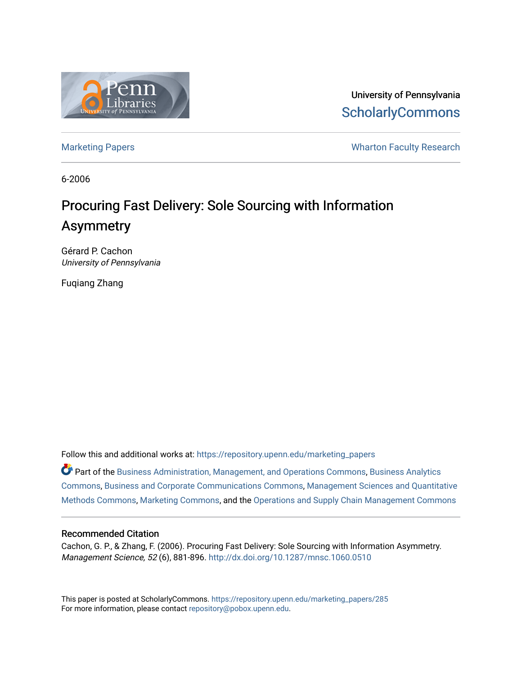

University of Pennsylvania **ScholarlyCommons** 

[Marketing Papers](https://repository.upenn.edu/marketing_papers) **Marketing Papers Marketing Papers Wharton Faculty Research** 

6-2006

# Procuring Fast Delivery: Sole Sourcing with Information Asymmetry

Gérard P. Cachon University of Pennsylvania

Fuqiang Zhang

Follow this and additional works at: [https://repository.upenn.edu/marketing\\_papers](https://repository.upenn.edu/marketing_papers?utm_source=repository.upenn.edu%2Fmarketing_papers%2F285&utm_medium=PDF&utm_campaign=PDFCoverPages)

Part of the [Business Administration, Management, and Operations Commons](http://network.bepress.com/hgg/discipline/623?utm_source=repository.upenn.edu%2Fmarketing_papers%2F285&utm_medium=PDF&utm_campaign=PDFCoverPages), [Business Analytics](http://network.bepress.com/hgg/discipline/1398?utm_source=repository.upenn.edu%2Fmarketing_papers%2F285&utm_medium=PDF&utm_campaign=PDFCoverPages) [Commons](http://network.bepress.com/hgg/discipline/1398?utm_source=repository.upenn.edu%2Fmarketing_papers%2F285&utm_medium=PDF&utm_campaign=PDFCoverPages), [Business and Corporate Communications Commons,](http://network.bepress.com/hgg/discipline/627?utm_source=repository.upenn.edu%2Fmarketing_papers%2F285&utm_medium=PDF&utm_campaign=PDFCoverPages) [Management Sciences and Quantitative](http://network.bepress.com/hgg/discipline/637?utm_source=repository.upenn.edu%2Fmarketing_papers%2F285&utm_medium=PDF&utm_campaign=PDFCoverPages)  [Methods Commons,](http://network.bepress.com/hgg/discipline/637?utm_source=repository.upenn.edu%2Fmarketing_papers%2F285&utm_medium=PDF&utm_campaign=PDFCoverPages) [Marketing Commons,](http://network.bepress.com/hgg/discipline/638?utm_source=repository.upenn.edu%2Fmarketing_papers%2F285&utm_medium=PDF&utm_campaign=PDFCoverPages) and the [Operations and Supply Chain Management Commons](http://network.bepress.com/hgg/discipline/1229?utm_source=repository.upenn.edu%2Fmarketing_papers%2F285&utm_medium=PDF&utm_campaign=PDFCoverPages)

### Recommended Citation

Cachon, G. P., & Zhang, F. (2006). Procuring Fast Delivery: Sole Sourcing with Information Asymmetry. Management Science, 52 (6), 881-896. <http://dx.doi.org/10.1287/mnsc.1060.0510>

This paper is posted at ScholarlyCommons. [https://repository.upenn.edu/marketing\\_papers/285](https://repository.upenn.edu/marketing_papers/285)  For more information, please contact [repository@pobox.upenn.edu.](mailto:repository@pobox.upenn.edu)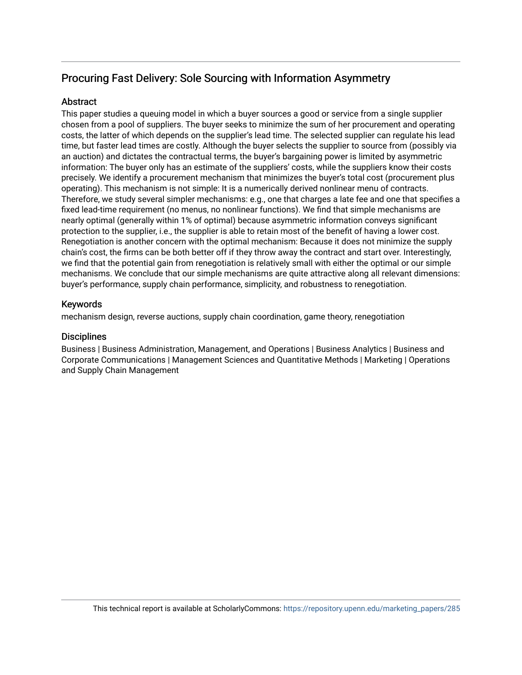## Procuring Fast Delivery: Sole Sourcing with Information Asymmetry

## **Abstract**

This paper studies a queuing model in which a buyer sources a good or service from a single supplier chosen from a pool of suppliers. The buyer seeks to minimize the sum of her procurement and operating costs, the latter of which depends on the supplier's lead time. The selected supplier can regulate his lead time, but faster lead times are costly. Although the buyer selects the supplier to source from (possibly via an auction) and dictates the contractual terms, the buyer's bargaining power is limited by asymmetric information: The buyer only has an estimate of the suppliers' costs, while the suppliers know their costs precisely. We identify a procurement mechanism that minimizes the buyer's total cost (procurement plus operating). This mechanism is not simple: It is a numerically derived nonlinear menu of contracts. Therefore, we study several simpler mechanisms: e.g., one that charges a late fee and one that specifies a fixed lead-time requirement (no menus, no nonlinear functions). We find that simple mechanisms are nearly optimal (generally within 1% of optimal) because asymmetric information conveys significant protection to the supplier, i.e., the supplier is able to retain most of the benefit of having a lower cost. Renegotiation is another concern with the optimal mechanism: Because it does not minimize the supply chain's cost, the firms can be both better off if they throw away the contract and start over. Interestingly, we find that the potential gain from renegotiation is relatively small with either the optimal or our simple mechanisms. We conclude that our simple mechanisms are quite attractive along all relevant dimensions: buyer's performance, supply chain performance, simplicity, and robustness to renegotiation.

## Keywords

mechanism design, reverse auctions, supply chain coordination, game theory, renegotiation

## **Disciplines**

Business | Business Administration, Management, and Operations | Business Analytics | Business and Corporate Communications | Management Sciences and Quantitative Methods | Marketing | Operations and Supply Chain Management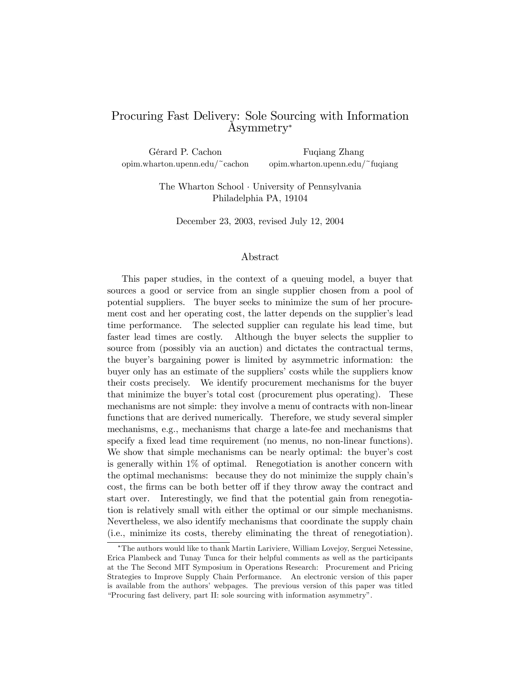## Procuring Fast Delivery: Sole Sourcing with Information Asymmetry<sup>∗</sup>

Gérard P. Cachon Fuqiang Zhang opim.wharton.upenn.edu/~cachon opim.wharton.upenn.edu/~fuqiang

> The Wharton School · University of Pennsylvania Philadelphia PA, 19104

December 23, 2003, revised July 12, 2004

#### Abstract

This paper studies, in the context of a queuing model, a buyer that sources a good or service from an single supplier chosen from a pool of potential suppliers. The buyer seeks to minimize the sum of her procurement cost and her operating cost, the latter depends on the supplier's lead time performance. The selected supplier can regulate his lead time, but faster lead times are costly. Although the buyer selects the supplier to source from (possibly via an auction) and dictates the contractual terms, the buyer's bargaining power is limited by asymmetric information: the buyer only has an estimate of the suppliers' costs while the suppliers know their costs precisely. We identify procurement mechanisms for the buyer that minimize the buyer's total cost (procurement plus operating). These mechanisms are not simple: they involve a menu of contracts with non-linear functions that are derived numerically. Therefore, we study several simpler mechanisms, e.g., mechanisms that charge a late-fee and mechanisms that specify a fixed lead time requirement (no menus, no non-linear functions). We show that simple mechanisms can be nearly optimal: the buyer's cost is generally within 1% of optimal. Renegotiation is another concern with the optimal mechanisms: because they do not minimize the supply chain's cost, the firms can be both better off if they throw away the contract and start over. Interestingly, we find that the potential gain from renegotiation is relatively small with either the optimal or our simple mechanisms. Nevertheless, we also identify mechanisms that coordinate the supply chain (i.e., minimize its costs, thereby eliminating the threat of renegotiation).

<sup>∗</sup>The authors would like to thank Martin Lariviere, William Lovejoy, Serguei Netessine, Erica Plambeck and Tunay Tunca for their helpful comments as well as the participants at the The Second MIT Symposium in Operations Research: Procurement and Pricing Strategies to Improve Supply Chain Performance. An electronic version of this paper is available from the authors' webpages. The previous version of this paper was titled "Procuring fast delivery, part II: sole sourcing with information asymmetry".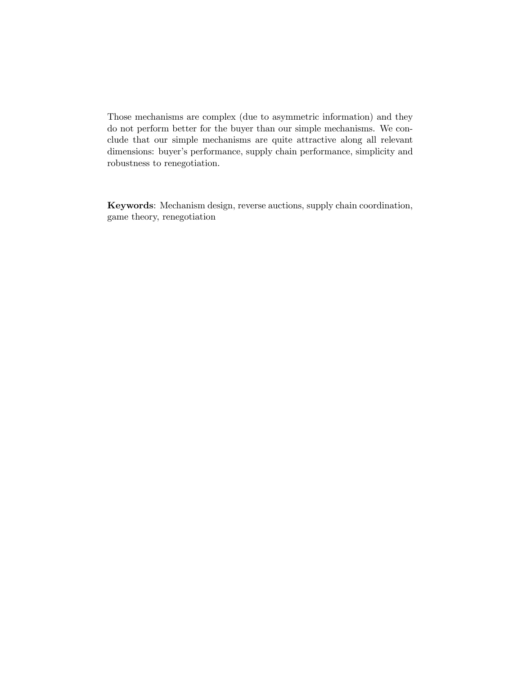Those mechanisms are complex (due to asymmetric information) and they do not perform better for the buyer than our simple mechanisms. We conclude that our simple mechanisms are quite attractive along all relevant dimensions: buyer's performance, supply chain performance, simplicity and robustness to renegotiation.

Keywords: Mechanism design, reverse auctions, supply chain coordination, game theory, renegotiation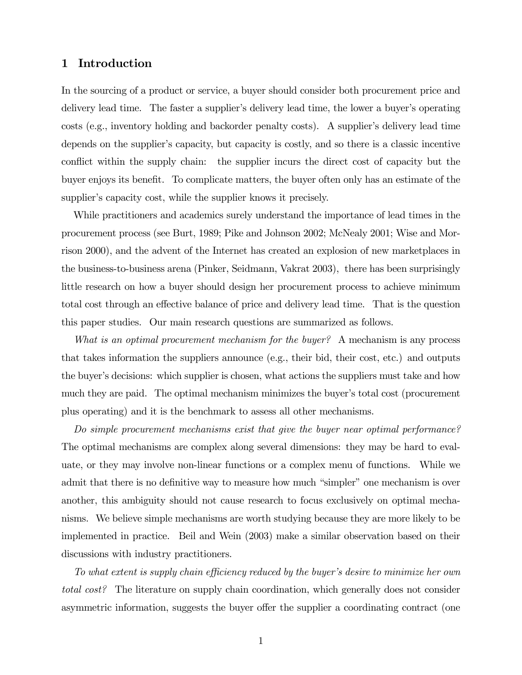## 1 Introduction

In the sourcing of a product or service, a buyer should consider both procurement price and delivery lead time. The faster a supplier's delivery lead time, the lower a buyer's operating costs (e.g., inventory holding and backorder penalty costs). A supplier's delivery lead time depends on the supplier's capacity, but capacity is costly, and so there is a classic incentive conflict within the supply chain: the supplier incurs the direct cost of capacity but the buyer enjoys its benefit. To complicate matters, the buyer often only has an estimate of the supplier's capacity cost, while the supplier knows it precisely.

While practitioners and academics surely understand the importance of lead times in the procurement process (see Burt, 1989; Pike and Johnson 2002; McNealy 2001; Wise and Morrison 2000), and the advent of the Internet has created an explosion of new marketplaces in the business-to-business arena (Pinker, Seidmann, Vakrat 2003), there has been surprisingly little research on how a buyer should design her procurement process to achieve minimum total cost through an effective balance of price and delivery lead time. That is the question this paper studies. Our main research questions are summarized as follows.

What is an optimal procurement mechanism for the buyer? A mechanism is any process that takes information the suppliers announce (e.g., their bid, their cost, etc.) and outputs the buyer's decisions: which supplier is chosen, what actions the suppliers must take and how much they are paid. The optimal mechanism minimizes the buyer's total cost (procurement plus operating) and it is the benchmark to assess all other mechanisms.

Do simple procurement mechanisms exist that give the buyer near optimal performance? The optimal mechanisms are complex along several dimensions: they may be hard to evaluate, or they may involve non-linear functions or a complex menu of functions. While we admit that there is no definitive way to measure how much "simpler" one mechanism is over another, this ambiguity should not cause research to focus exclusively on optimal mechanisms. We believe simple mechanisms are worth studying because they are more likely to be implemented in practice. Beil and Wein (2003) make a similar observation based on their discussions with industry practitioners.

To what extent is supply chain efficiency reduced by the buyer's desire to minimize her own total cost? The literature on supply chain coordination, which generally does not consider asymmetric information, suggests the buyer offer the supplier a coordinating contract (one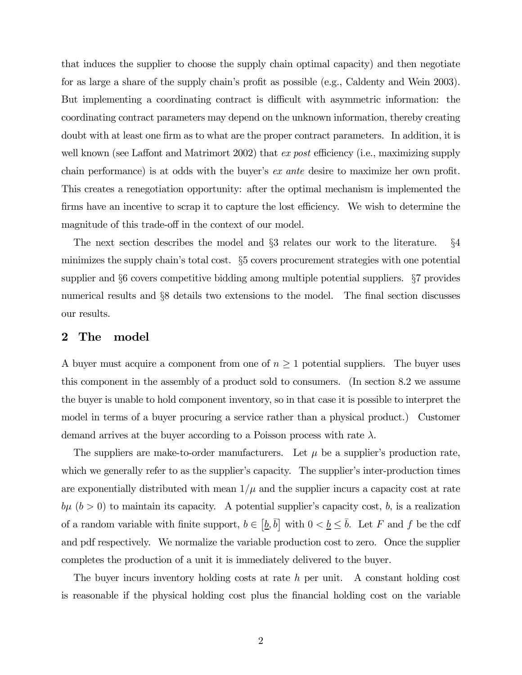that induces the supplier to choose the supply chain optimal capacity) and then negotiate for as large a share of the supply chain's profit as possible (e.g., Caldenty and Wein 2003). But implementing a coordinating contract is difficult with asymmetric information: the coordinating contract parameters may depend on the unknown information, thereby creating doubt with at least one firm as to what are the proper contract parameters. In addition, it is well known (see Laffont and Matrimort 2002) that ex post efficiency (i.e., maximizing supply chain performance) is at odds with the buyer's ex ante desire to maximize her own profit. This creates a renegotiation opportunity: after the optimal mechanism is implemented the firms have an incentive to scrap it to capture the lost efficiency. We wish to determine the magnitude of this trade-off in the context of our model.

The next section describes the model and §3 relates our work to the literature. §4 minimizes the supply chain's total cost. §5 covers procurement strategies with one potential supplier and §6 covers competitive bidding among multiple potential suppliers. §7 provides numerical results and §8 details two extensions to the model. The final section discusses our results.

#### 2 The model

A buyer must acquire a component from one of  $n \geq 1$  potential suppliers. The buyer uses this component in the assembly of a product sold to consumers. (In section 8.2 we assume the buyer is unable to hold component inventory, so in that case it is possible to interpret the model in terms of a buyer procuring a service rather than a physical product.) Customer demand arrives at the buyer according to a Poisson process with rate  $\lambda$ .

The suppliers are make-to-order manufacturers. Let  $\mu$  be a supplier's production rate, which we generally refer to as the supplier's capacity. The supplier's inter-production times are exponentially distributed with mean  $1/\mu$  and the supplier incurs a capacity cost at rate  $b\mu$  ( $b > 0$ ) to maintain its capacity. A potential supplier's capacity cost, b, is a realization of a random variable with finite support,  $b \in [\underline{b}, \overline{b}]$  with  $0 < \underline{b} \le \overline{b}$ . Let F and f be the cdf and pdf respectively. We normalize the variable production cost to zero. Once the supplier completes the production of a unit it is immediately delivered to the buyer.

The buyer incurs inventory holding costs at rate  $h$  per unit. A constant holding cost is reasonable if the physical holding cost plus the financial holding cost on the variable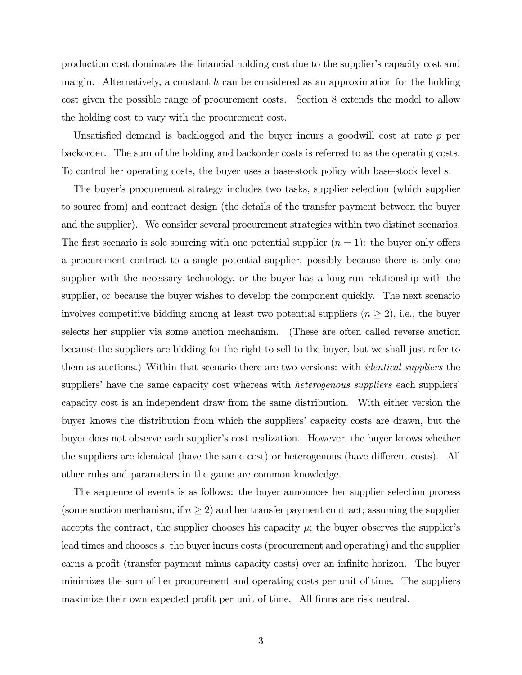production cost dominates the financial holding cost due to the supplier's capacity cost and margin. Alternatively, a constant  $h$  can be considered as an approximation for the holding cost given the possible range of procurement costs. Section 8 extends the model to allow the holding cost to vary with the procurement cost.

Unsatisfied demand is backlogged and the buyer incurs a goodwill cost at rate p per backorder. The sum of the holding and backorder costs is referred to as the operating costs. To control her operating costs, the buyer uses a base-stock policy with base-stock level s.

The buyer's procurement strategy includes two tasks, supplier selection (which supplier to source from) and contract design (the details of the transfer payment between the buyer and the supplier). We consider several procurement strategies within two distinct scenarios. The first scenario is sole sourcing with one potential supplier  $(n = 1)$ : the buyer only offers a procurement contract to a single potential supplier, possibly because there is only one supplier with the necessary technology, or the buyer has a long-run relationship with the supplier, or because the buyer wishes to develop the component quickly. The next scenario involves competitive bidding among at least two potential suppliers  $(n \geq 2)$ , i.e., the buyer selects her supplier via some auction mechanism. (These are often called reverse auction because the suppliers are bidding for the right to sell to the buyer, but we shall just refer to them as auctions.) Within that scenario there are two versions: with identical suppliers the suppliers' have the same capacity cost whereas with *heterogenous suppliers* each suppliers' capacity cost is an independent draw from the same distribution. With either version the buyer knows the distribution from which the suppliers' capacity costs are drawn, but the buyer does not observe each supplier's cost realization. However, the buyer knows whether the suppliers are identical (have the same cost) or heterogenous (have different costs). All other rules and parameters in the game are common knowledge.

The sequence of events is as follows: the buyer announces her supplier selection process (some auction mechanism, if  $n \geq 2$ ) and her transfer payment contract; assuming the supplier accepts the contract, the supplier chooses his capacity  $\mu$ ; the buyer observes the supplier's lead times and chooses s; the buyer incurs costs (procurement and operating) and the supplier earns a profit (transfer payment minus capacity costs) over an infinite horizon. The buyer minimizes the sum of her procurement and operating costs per unit of time. The suppliers maximize their own expected profit per unit of time. All firms are risk neutral.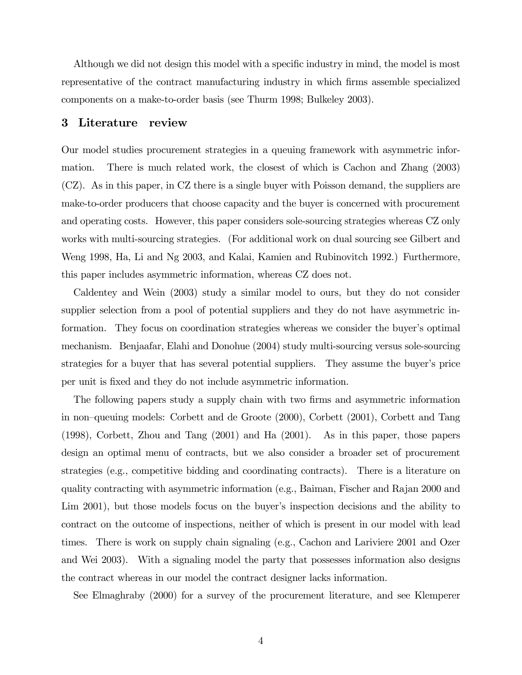Although we did not design this model with a specific industry in mind, the model is most representative of the contract manufacturing industry in which firms assemble specialized components on a make-to-order basis (see Thurm 1998; Bulkeley 2003).

#### 3 Literature review

Our model studies procurement strategies in a queuing framework with asymmetric information. There is much related work, the closest of which is Cachon and Zhang (2003) (CZ). As in this paper, in CZ there is a single buyer with Poisson demand, the suppliers are make-to-order producers that choose capacity and the buyer is concerned with procurement and operating costs. However, this paper considers sole-sourcing strategies whereas CZ only works with multi-sourcing strategies. (For additional work on dual sourcing see Gilbert and Weng 1998, Ha, Li and Ng 2003, and Kalai, Kamien and Rubinovitch 1992.) Furthermore, this paper includes asymmetric information, whereas CZ does not.

Caldentey and Wein (2003) study a similar model to ours, but they do not consider supplier selection from a pool of potential suppliers and they do not have asymmetric information. They focus on coordination strategies whereas we consider the buyer's optimal mechanism. Benjaafar, Elahi and Donohue (2004) study multi-sourcing versus sole-sourcing strategies for a buyer that has several potential suppliers. They assume the buyer's price per unit is fixed and they do not include asymmetric information.

The following papers study a supply chain with two firms and asymmetric information in non—queuing models: Corbett and de Groote (2000), Corbett (2001), Corbett and Tang (1998), Corbett, Zhou and Tang (2001) and Ha (2001). As in this paper, those papers design an optimal menu of contracts, but we also consider a broader set of procurement strategies (e.g., competitive bidding and coordinating contracts). There is a literature on quality contracting with asymmetric information (e.g., Baiman, Fischer and Rajan 2000 and Lim 2001), but those models focus on the buyer's inspection decisions and the ability to contract on the outcome of inspections, neither of which is present in our model with lead times. There is work on supply chain signaling (e.g., Cachon and Lariviere 2001 and Ozer and Wei 2003). With a signaling model the party that possesses information also designs the contract whereas in our model the contract designer lacks information.

See Elmaghraby (2000) for a survey of the procurement literature, and see Klemperer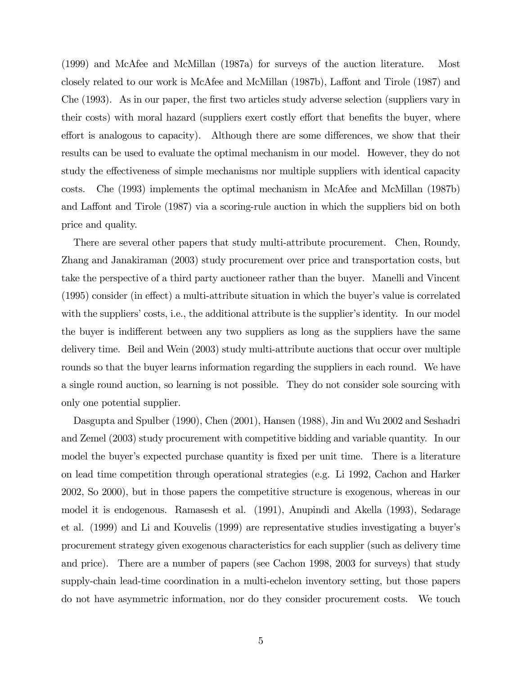(1999) and McAfee and McMillan (1987a) for surveys of the auction literature. Most closely related to our work is McAfee and McMillan (1987b), Laffont and Tirole (1987) and Che (1993). As in our paper, the first two articles study adverse selection (suppliers vary in their costs) with moral hazard (suppliers exert costly effort that benefits the buyer, where effort is analogous to capacity). Although there are some differences, we show that their results can be used to evaluate the optimal mechanism in our model. However, they do not study the effectiveness of simple mechanisms nor multiple suppliers with identical capacity costs. Che (1993) implements the optimal mechanism in McAfee and McMillan (1987b) and Laffont and Tirole (1987) via a scoring-rule auction in which the suppliers bid on both price and quality.

There are several other papers that study multi-attribute procurement. Chen, Roundy, Zhang and Janakiraman (2003) study procurement over price and transportation costs, but take the perspective of a third party auctioneer rather than the buyer. Manelli and Vincent (1995) consider (in effect) a multi-attribute situation in which the buyer's value is correlated with the suppliers' costs, i.e., the additional attribute is the supplier's identity. In our model the buyer is indifferent between any two suppliers as long as the suppliers have the same delivery time. Beil and Wein (2003) study multi-attribute auctions that occur over multiple rounds so that the buyer learns information regarding the suppliers in each round. We have a single round auction, so learning is not possible. They do not consider sole sourcing with only one potential supplier.

Dasgupta and Spulber (1990), Chen (2001), Hansen (1988), Jin and Wu 2002 and Seshadri and Zemel (2003) study procurement with competitive bidding and variable quantity. In our model the buyer's expected purchase quantity is fixed per unit time. There is a literature on lead time competition through operational strategies (e.g. Li 1992, Cachon and Harker 2002, So 2000), but in those papers the competitive structure is exogenous, whereas in our model it is endogenous. Ramasesh et al. (1991), Anupindi and Akella (1993), Sedarage et al. (1999) and Li and Kouvelis (1999) are representative studies investigating a buyer's procurement strategy given exogenous characteristics for each supplier (such as delivery time and price). There are a number of papers (see Cachon 1998, 2003 for surveys) that study supply-chain lead-time coordination in a multi-echelon inventory setting, but those papers do not have asymmetric information, nor do they consider procurement costs. We touch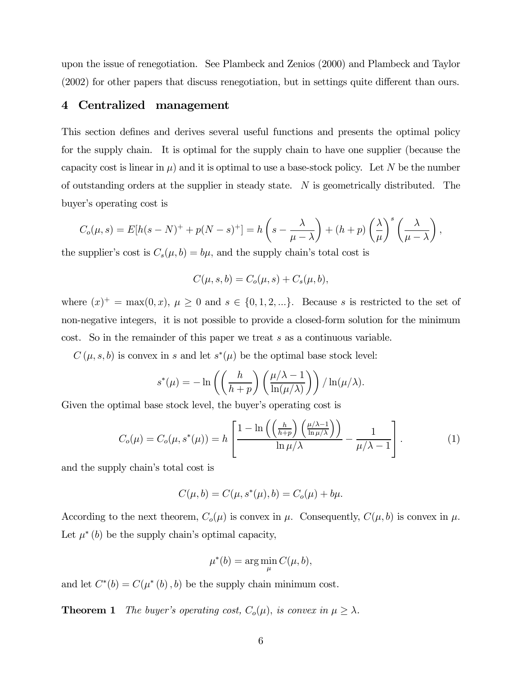upon the issue of renegotiation. See Plambeck and Zenios (2000) and Plambeck and Taylor (2002) for other papers that discuss renegotiation, but in settings quite different than ours.

## 4 Centralized management

This section defines and derives several useful functions and presents the optimal policy for the supply chain. It is optimal for the supply chain to have one supplier (because the capacity cost is linear in  $\mu$ ) and it is optimal to use a base-stock policy. Let N be the number of outstanding orders at the supplier in steady state. N is geometrically distributed. The buyer's operating cost is

$$
C_o(\mu, s) = E[h(s - N)^{+} + p(N - s)^{+}] = h\left(s - \frac{\lambda}{\mu - \lambda}\right) + (h + p)\left(\frac{\lambda}{\mu}\right)^{s}\left(\frac{\lambda}{\mu - \lambda}\right),
$$

the supplier's cost is  $C_s(\mu, b) = b\mu$ , and the supply chain's total cost is

$$
C(\mu, s, b) = C_o(\mu, s) + C_s(\mu, b),
$$

where  $(x)^{+} = \max(0, x), \mu \ge 0$  and  $s \in \{0, 1, 2, ...\}$ . Because s is restricted to the set of non-negative integers, it is not possible to provide a closed-form solution for the minimum cost. So in the remainder of this paper we treat s as a continuous variable.

 $C(\mu, s, b)$  is convex in s and let  $s^*(\mu)$  be the optimal base stock level:

$$
s^*(\mu) = -\ln\left(\left(\frac{h}{h+p}\right)\left(\frac{\mu/\lambda - 1}{\ln(\mu/\lambda)}\right)\right) / \ln(\mu/\lambda).
$$

Given the optimal base stock level, the buyer's operating cost is

$$
C_o(\mu) = C_o(\mu, s^*(\mu)) = h \left[ \frac{1 - \ln\left(\left(\frac{h}{h+p}\right)\left(\frac{\mu/\lambda - 1}{\ln \mu/\lambda}\right)\right)}{\ln \mu/\lambda} - \frac{1}{\mu/\lambda - 1} \right].
$$
 (1)

and the supply chain's total cost is

$$
C(\mu, b) = C(\mu, s^*(\mu), b) = C_o(\mu) + b\mu.
$$

According to the next theorem,  $C_o(\mu)$  is convex in  $\mu$ . Consequently,  $C(\mu, b)$  is convex in  $\mu$ . Let  $\mu^*(b)$  be the supply chain's optimal capacity,

$$
\mu^*(b) = \arg\min_{\mu} C(\mu, b),
$$

and let  $C^*(b) = C(\mu^*(b), b)$  be the supply chain minimum cost.

**Theorem 1** The buyer's operating cost,  $C_o(\mu)$ , is convex in  $\mu \geq \lambda$ .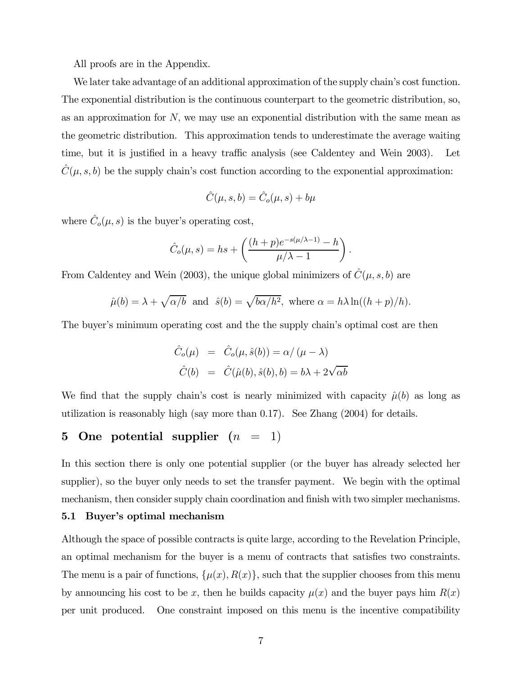All proofs are in the Appendix.

We later take advantage of an additional approximation of the supply chain's cost function. The exponential distribution is the continuous counterpart to the geometric distribution, so, as an approximation for  $N$ , we may use an exponential distribution with the same mean as the geometric distribution. This approximation tends to underestimate the average waiting time, but it is justified in a heavy traffic analysis (see Caldentey and Wein 2003). Let  $C(\mu, s, b)$  be the supply chain's cost function according to the exponential approximation:

$$
\hat{C}(\mu, s, b) = \hat{C}_o(\mu, s) + b\mu
$$

where  $\hat{C}_o(\mu, s)$  is the buyer's operating cost,

$$
\hat{C}_o(\mu, s) = hs + \left(\frac{(h+p)e^{-s(\mu/\lambda - 1)} - h}{\mu/\lambda - 1}\right).
$$

From Caldentey and Wein (2003), the unique global minimizers of  $\hat{C}(\mu, s, b)$  are

$$
\hat{\mu}(b) = \lambda + \sqrt{\alpha/b}
$$
 and  $\hat{s}(b) = \sqrt{b\alpha/h^2}$ , where  $\alpha = h\lambda \ln((h+p)/h)$ .

The buyer's minimum operating cost and the the supply chain's optimal cost are then

$$
\hat{C}_o(\mu) = \hat{C}_o(\mu, \hat{s}(b)) = \alpha / (\mu - \lambda)
$$
  

$$
\hat{C}(b) = \hat{C}(\hat{\mu}(b), \hat{s}(b), b) = b\lambda + 2\sqrt{\alpha b}
$$

We find that the supply chain's cost is nearly minimized with capacity  $\hat{\mu}(b)$  as long as utilization is reasonably high (say more than 0.17). See Zhang (2004) for details.

## 5 One potential supplier  $(n = 1)$

In this section there is only one potential supplier (or the buyer has already selected her supplier), so the buyer only needs to set the transfer payment. We begin with the optimal mechanism, then consider supply chain coordination and finish with two simpler mechanisms.

#### 5.1 Buyer's optimal mechanism

Although the space of possible contracts is quite large, according to the Revelation Principle, an optimal mechanism for the buyer is a menu of contracts that satisfies two constraints. The menu is a pair of functions,  $\{\mu(x), R(x)\}$ , such that the supplier chooses from this menu by announcing his cost to be x, then he builds capacity  $\mu(x)$  and the buyer pays him  $R(x)$ per unit produced. One constraint imposed on this menu is the incentive compatibility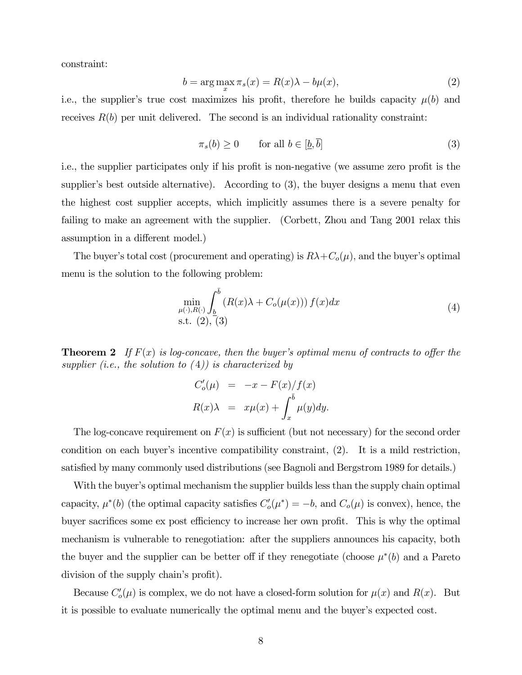constraint:

$$
b = \arg\max_{x} \pi_s(x) = R(x)\lambda - b\mu(x),\tag{2}
$$

i.e., the supplier's true cost maximizes his profit, therefore he builds capacity  $\mu(b)$  and receives  $R(b)$  per unit delivered. The second is an individual rationality constraint:

$$
\pi_s(b) \ge 0 \qquad \text{for all } b \in [\underline{b}, \overline{b}] \tag{3}
$$

i.e., the supplier participates only if his profit is non-negative (we assume zero profit is the supplier's best outside alternative). According to (3), the buyer designs a menu that even the highest cost supplier accepts, which implicitly assumes there is a severe penalty for failing to make an agreement with the supplier. (Corbett, Zhou and Tang 2001 relax this assumption in a different model.)

The buyer's total cost (procurement and operating) is  $R\lambda + C_o(\mu)$ , and the buyer's optimal menu is the solution to the following problem:

$$
\min_{\mu(\cdot), R(\cdot)} \int_{\underline{b}}^{\overline{b}} \left( R(x)\lambda + C_o(\mu(x)) \right) f(x) dx
$$
\n  
s.t. (2), (3)

**Theorem 2** If  $F(x)$  is log-concave, then the buyer's optimal menu of contracts to offer the supplier (i.e., the solution to  $(4)$ ) is characterized by

$$
C'_{o}(\mu) = -x - F(x)/f(x)
$$
  

$$
R(x)\lambda = x\mu(x) + \int_{x}^{\bar{b}} \mu(y)dy.
$$

The log-concave requirement on  $F(x)$  is sufficient (but not necessary) for the second order condition on each buyer's incentive compatibility constraint, (2). It is a mild restriction, satisfied by many commonly used distributions (see Bagnoli and Bergstrom 1989 for details.)

With the buyer's optimal mechanism the supplier builds less than the supply chain optimal capacity,  $\mu^*(b)$  (the optimal capacity satisfies  $C'_o(\mu^*) = -b$ , and  $C_o(\mu)$  is convex), hence, the buyer sacrifices some ex post efficiency to increase her own profit. This is why the optimal mechanism is vulnerable to renegotiation: after the suppliers announces his capacity, both the buyer and the supplier can be better off if they renegotiate (choose  $\mu^*(b)$ ) and a Pareto division of the supply chain's profit).

Because  $C'_{o}(\mu)$  is complex, we do not have a closed-form solution for  $\mu(x)$  and  $R(x)$ . But it is possible to evaluate numerically the optimal menu and the buyer's expected cost.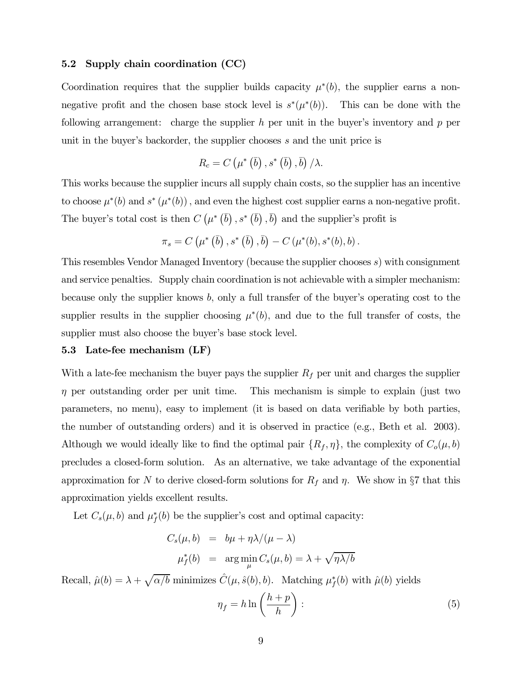#### 5.2 Supply chain coordination (CC)

Coordination requires that the supplier builds capacity  $\mu^*(b)$ , the supplier earns a nonnegative profit and the chosen base stock level is  $s^*(\mu^*(b))$ . This can be done with the following arrangement: charge the supplier  $h$  per unit in the buyer's inventory and  $p$  per unit in the buyer's backorder, the supplier chooses s and the unit price is

$$
R_c = C\left(\mu^*\left(\overline{b}\right), s^*\left(\overline{b}\right), \overline{b}\right)/\lambda.
$$

This works because the supplier incurs all supply chain costs, so the supplier has an incentive to choose  $\mu^*(b)$  and  $s^*(\mu^*(b))$ , and even the highest cost supplier earns a non-negative profit. The buyer's total cost is then  $C\left(\mu^*\left(\bar{b}\right), s^*\left(\bar{b}\right), \bar{b}\right)$  and the supplier's profit is

$$
\pi_s = C\left(\mu^*\left(\overline{b}\right), s^*\left(\overline{b}\right), \overline{b}\right) - C\left(\mu^*(b), s^*(b), b\right).
$$

This resembles Vendor Managed Inventory (because the supplier chooses s) with consignment and service penalties. Supply chain coordination is not achievable with a simpler mechanism: because only the supplier knows  $b$ , only a full transfer of the buyer's operating cost to the supplier results in the supplier choosing  $\mu^*(b)$ , and due to the full transfer of costs, the supplier must also choose the buyer's base stock level.

#### 5.3 Late-fee mechanism (LF)

With a late-fee mechanism the buyer pays the supplier  $R_f$  per unit and charges the supplier  $\eta$  per outstanding order per unit time. This mechanism is simple to explain (just two parameters, no menu), easy to implement (it is based on data verifiable by both parties, the number of outstanding orders) and it is observed in practice (e.g., Beth et al. 2003). Although we would ideally like to find the optimal pair  $\{R_f, \eta\}$ , the complexity of  $C_o(\mu, b)$ precludes a closed-form solution. As an alternative, we take advantage of the exponential approximation for N to derive closed-form solutions for  $R_f$  and  $\eta$ . We show in §7 that this approximation yields excellent results.

Let  $C_s(\mu, b)$  and  $\mu_f^*(b)$  be the supplier's cost and optimal capacity:

$$
C_s(\mu, b) = b\mu + \eta \lambda / (\mu - \lambda)
$$
  

$$
\mu_f^*(b) = \arg \min_{\mu} C_s(\mu, b) = \lambda + \sqrt{\eta \lambda / b}
$$

Recall,  $\hat{\mu}(b) = \lambda + \sqrt{\alpha/b}$  minimizes  $\hat{C}(\mu, \hat{s}(b), b)$ . Matching  $\mu_f^*(b)$  with  $\hat{\mu}(b)$  yields

$$
\eta_f = h \ln \left( \frac{h+p}{h} \right) : \tag{5}
$$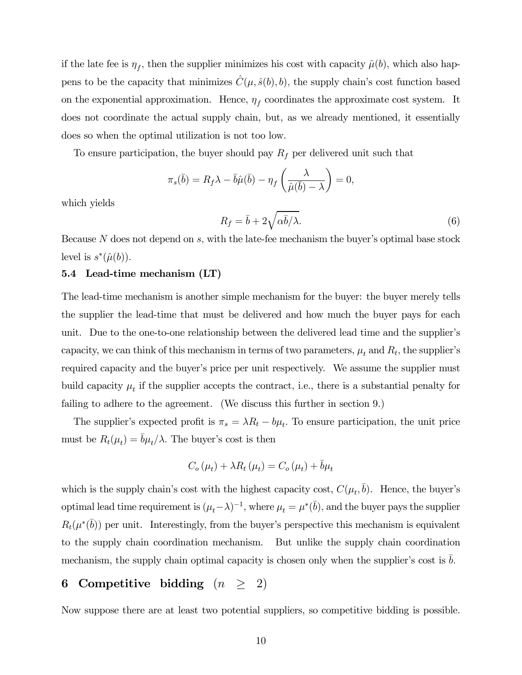if the late fee is  $\eta_f$ , then the supplier minimizes his cost with capacity  $\hat{\mu}(b)$ , which also happens to be the capacity that minimizes  $\hat{C}(\mu, \hat{s}(b), b)$ , the supply chain's cost function based on the exponential approximation. Hence,  $\eta_f$  coordinates the approximate cost system. It does not coordinate the actual supply chain, but, as we already mentioned, it essentially does so when the optimal utilization is not too low.

To ensure participation, the buyer should pay  $R_f$  per delivered unit such that

$$
\pi_s(\bar{b}) = R_f \lambda - \bar{b}\hat{\mu}(\bar{b}) - \eta_f\left(\frac{\lambda}{\hat{\mu}(\bar{b}) - \lambda}\right) = 0,
$$

which yields

$$
R_f = \bar{b} + 2\sqrt{\alpha \bar{b}/\lambda}.\tag{6}
$$

Because N does not depend on s, with the late-fee mechanism the buyer's optimal base stock level is  $s^*(\hat{\mu}(b))$ .

#### 5.4 Lead-time mechanism (LT)

The lead-time mechanism is another simple mechanism for the buyer: the buyer merely tells the supplier the lead-time that must be delivered and how much the buyer pays for each unit. Due to the one-to-one relationship between the delivered lead time and the supplier's capacity, we can think of this mechanism in terms of two parameters,  $\mu_t$  and  $R_t$ , the supplier's required capacity and the buyer's price per unit respectively. We assume the supplier must build capacity  $\mu_t$  if the supplier accepts the contract, i.e., there is a substantial penalty for failing to adhere to the agreement. (We discuss this further in section 9.)

The supplier's expected profit is  $\pi_s = \lambda R_t - b\mu_t$ . To ensure participation, the unit price must be  $R_t(\mu_t) = \bar{b}\mu_t/\lambda$ . The buyer's cost is then

$$
C_o(\mu_t) + \lambda R_t(\mu_t) = C_o(\mu_t) + \bar{b}\mu_t
$$

which is the supply chain's cost with the highest capacity cost,  $C(\mu_t, \bar{b})$ . Hence, the buyer's optimal lead time requirement is  $(\mu_t - \lambda)^{-1}$ , where  $\mu_t = \mu^*(\overline{b})$ , and the buyer pays the supplier  $R_t(\mu^*(\overline{b}))$  per unit. Interestingly, from the buyer's perspective this mechanism is equivalent to the supply chain coordination mechanism. But unlike the supply chain coordination mechanism, the supply chain optimal capacity is chosen only when the supplier's cost is  $b$ .

## 6 Competitive bidding  $(n \geq 2)$

Now suppose there are at least two potential suppliers, so competitive bidding is possible.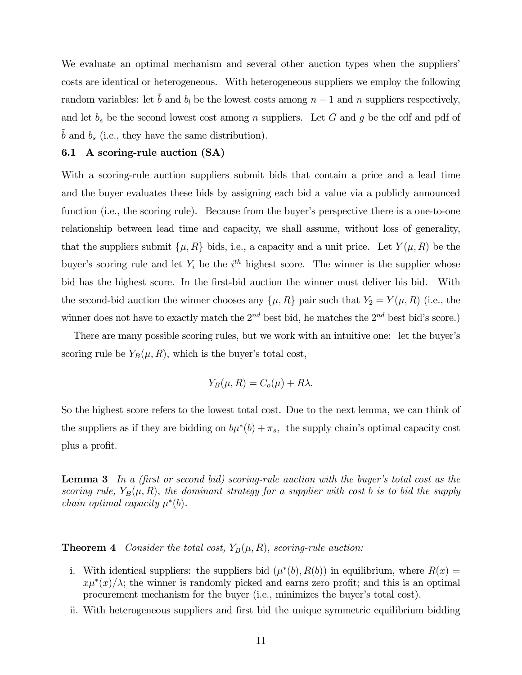We evaluate an optimal mechanism and several other auction types when the suppliers' costs are identical or heterogeneous. With heterogeneous suppliers we employ the following random variables: let  $\tilde{b}$  and  $b_l$  be the lowest costs among  $n-1$  and n suppliers respectively, and let  $b_s$  be the second lowest cost among n suppliers. Let G and g be the cdf and pdf of  $b$  and  $b_s$  (i.e., they have the same distribution).

#### 6.1 A scoring-rule auction (SA)

With a scoring-rule auction suppliers submit bids that contain a price and a lead time and the buyer evaluates these bids by assigning each bid a value via a publicly announced function (i.e., the scoring rule). Because from the buyer's perspective there is a one-to-one relationship between lead time and capacity, we shall assume, without loss of generality, that the suppliers submit  $\{\mu, R\}$  bids, i.e., a capacity and a unit price. Let  $Y(\mu, R)$  be the buyer's scoring rule and let  $Y_i$  be the  $i<sup>th</sup>$  highest score. The winner is the supplier whose bid has the highest score. In the first-bid auction the winner must deliver his bid. With the second-bid auction the winner chooses any  $\{\mu, R\}$  pair such that  $Y_2 = Y(\mu, R)$  (i.e., the winner does not have to exactly match the  $2^{nd}$  best bid, he matches the  $2^{nd}$  best bid's score.)

There are many possible scoring rules, but we work with an intuitive one: let the buyer's scoring rule be  $Y_B(\mu, R)$ , which is the buyer's total cost,

$$
Y_B(\mu, R) = C_o(\mu) + R\lambda.
$$

So the highest score refers to the lowest total cost. Due to the next lemma, we can think of the suppliers as if they are bidding on  $b\mu^*(b) + \pi_s$ , the supply chain's optimal capacity cost plus a profit.

Lemma 3 In a (first or second bid) scoring-rule auction with the buyer's total cost as the scoring rule,  $Y_B(\mu, R)$ , the dominant strategy for a supplier with cost b is to bid the supply *chain optimal capacity*  $\mu^*(b)$ .

**Theorem 4** Consider the total cost,  $Y_B(\mu, R)$ , scoring-rule auction:

- i. With identical suppliers: the suppliers bid  $(\mu^*(b), R(b))$  in equilibrium, where  $R(x) =$  $x\mu^*(x)/\lambda$ ; the winner is randomly picked and earns zero profit; and this is an optimal procurement mechanism for the buyer (i.e., minimizes the buyer's total cost).
- ii. With heterogeneous suppliers and first bid the unique symmetric equilibrium bidding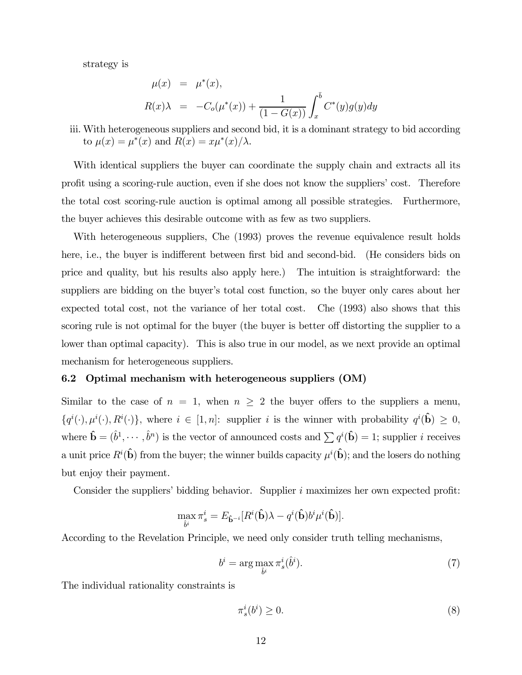strategy is

$$
\mu(x) = \mu^*(x), \nR(x)\lambda = -C_o(\mu^*(x)) + \frac{1}{(1 - G(x))} \int_x^b C^*(y)g(y)dy
$$

iii. With heterogeneous suppliers and second bid, it is a dominant strategy to bid according to  $\mu(x) = \mu^*(x)$  and  $R(x) = x\mu^*(x)/\lambda$ .

With identical suppliers the buyer can coordinate the supply chain and extracts all its profit using a scoring-rule auction, even if she does not know the suppliers' cost. Therefore the total cost scoring-rule auction is optimal among all possible strategies. Furthermore, the buyer achieves this desirable outcome with as few as two suppliers.

With heterogeneous suppliers, Che (1993) proves the revenue equivalence result holds here, i.e., the buyer is indifferent between first bid and second-bid. (He considers bids on price and quality, but his results also apply here.) The intuition is straightforward: the suppliers are bidding on the buyer's total cost function, so the buyer only cares about her expected total cost, not the variance of her total cost. Che (1993) also shows that this scoring rule is not optimal for the buyer (the buyer is better off distorting the supplier to a lower than optimal capacity). This is also true in our model, as we next provide an optimal mechanism for heterogeneous suppliers.

#### 6.2 Optimal mechanism with heterogeneous suppliers (OM)

Similar to the case of  $n = 1$ , when  $n \geq 2$  the buyer offers to the suppliers a menu,  $\{q^i(\cdot), \mu^i(\cdot), R^i(\cdot)\}\$ , where  $i \in [1, n]$ : supplier i is the winner with probability  $q^i(\hat{\mathbf{b}}) \geq 0$ , where  $\hat{\mathbf{b}} = (\hat{b}^1, \dots, \hat{b}^n)$  is the vector of announced costs and  $\sum q^i(\hat{\mathbf{b}}) = 1$ ; supplier *i* receives a unit price  $R^i(\hat{\mathbf{b}})$  from the buyer; the winner builds capacity  $\mu^i(\hat{\mathbf{b}})$ ; and the losers do nothing but enjoy their payment.

Consider the suppliers' bidding behavior. Supplier i maximizes her own expected profit:

$$
\max_{\hat{\mathbf{b}}^i} \pi_s^i = E_{\hat{\mathbf{b}}^{-i}} [R^i(\hat{\mathbf{b}})\lambda - q^i(\hat{\mathbf{b}})b^i \mu^i(\hat{\mathbf{b}})].
$$

According to the Revelation Principle, we need only consider truth telling mechanisms,

$$
b^i = \arg\max_{\hat{b}^i} \pi_s^i(\hat{b}^i). \tag{7}
$$

The individual rationality constraints is

$$
\pi_s^i(b^i) \ge 0. \tag{8}
$$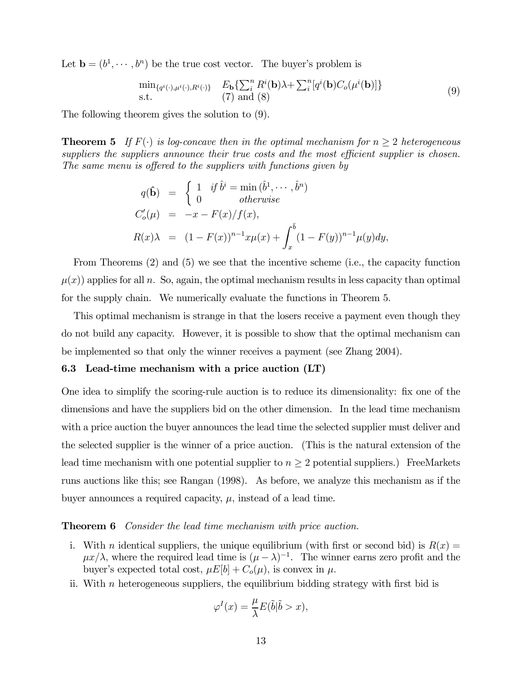Let  $\mathbf{b} = (b^1, \dots, b^n)$  be the true cost vector. The buyer's problem is

$$
\min_{\{q^i(\cdot),\mu^i(\cdot),R^i(\cdot)\}} \quad E_{\mathbf{b}}\left\{\sum_{i}^{n} R^i(\mathbf{b})\lambda + \sum_{i}^{n} [q^i(\mathbf{b})C_o(\mu^i(\mathbf{b}))]\right\} \text{s.t.} \quad (7) \text{ and } (8)
$$
\n(9)

The following theorem gives the solution to (9).

**Theorem 5** If  $F(\cdot)$  is log-concave then in the optimal mechanism for  $n > 2$  heterogeneous suppliers the suppliers announce their true costs and the most efficient supplier is chosen. The same menu is offered to the suppliers with functions given by

$$
q(\hat{\mathbf{b}}) = \begin{cases} 1 & \text{if } \hat{b}^i = \min(\hat{b}^1, \dots, \hat{b}^n) \\ 0 & \text{otherwise} \end{cases}
$$
  
\n
$$
C'_o(\mu) = -x - F(x)/f(x),
$$
  
\n
$$
R(x)\lambda = (1 - F(x))^{n-1}x\mu(x) + \int_x^{\bar{b}} (1 - F(y))^{n-1}\mu(y)dy,
$$

From Theorems (2) and (5) we see that the incentive scheme (i.e., the capacity function  $\mu(x)$ ) applies for all n. So, again, the optimal mechanism results in less capacity than optimal for the supply chain. We numerically evaluate the functions in Theorem 5.

This optimal mechanism is strange in that the losers receive a payment even though they do not build any capacity. However, it is possible to show that the optimal mechanism can be implemented so that only the winner receives a payment (see Zhang 2004).

#### 6.3 Lead-time mechanism with a price auction (LT)

One idea to simplify the scoring-rule auction is to reduce its dimensionality: fix one of the dimensions and have the suppliers bid on the other dimension. In the lead time mechanism with a price auction the buyer announces the lead time the selected supplier must deliver and the selected supplier is the winner of a price auction. (This is the natural extension of the lead time mechanism with one potential supplier to  $n \geq 2$  potential suppliers.) FreeMarkets runs auctions like this; see Rangan (1998). As before, we analyze this mechanism as if the buyer announces a required capacity,  $\mu$ , instead of a lead time.

#### **Theorem 6** Consider the lead time mechanism with price auction.

- i. With *n* identical suppliers, the unique equilibrium (with first or second bid) is  $R(x) =$  $\mu x/\lambda$ , where the required lead time is  $(\mu - \lambda)^{-1}$ . The winner earns zero profit and the buyer's expected total cost,  $\mu E[b] + C_o(\mu)$ , is convex in  $\mu$ .
- ii. With  $n$  heterogeneous suppliers, the equilibrium bidding strategy with first bid is

$$
\varphi^{I}(x) = \frac{\mu}{\lambda} E(\tilde{b}|\tilde{b} > x),
$$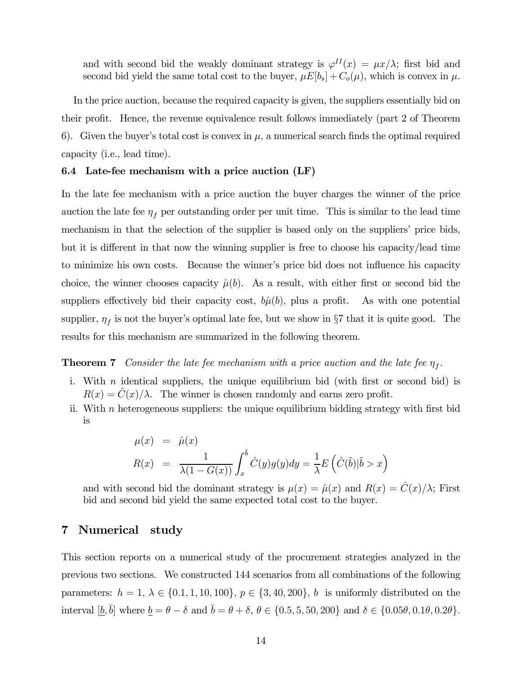and with second bid the weakly dominant strategy is  $\varphi^{II}(x) = \mu x/\lambda$ ; first bid and second bid yield the same total cost to the buyer,  $\mu E[b_s] + C_o(\mu)$ , which is convex in  $\mu$ .

In the price auction, because the required capacity is given, the suppliers essentially bid on their profit. Hence, the revenue equivalence result follows immediately (part 2 of Theorem 6). Given the buyer's total cost is convex in  $\mu$ , a numerical search finds the optimal required capacity (i.e., lead time).

#### 6.4 Late-fee mechanism with a price auction (LF)

In the late fee mechanism with a price auction the buyer charges the winner of the price auction the late fee  $\eta_f$  per outstanding order per unit time. This is similar to the lead time mechanism in that the selection of the supplier is based only on the suppliers' price bids, but it is different in that now the winning supplier is free to choose his capacity/lead time to minimize his own costs. Because the winner's price bid does not influence his capacity choice, the winner chooses capacity  $\hat{\mu}(b)$ . As a result, with either first or second bid the suppliers effectively bid their capacity cost,  $b\hat{\mu}(b)$ , plus a profit. As with one potential supplier,  $\eta_f$  is not the buyer's optimal late fee, but we show in §7 that it is quite good. The results for this mechanism are summarized in the following theorem.

**Theorem 7** Consider the late fee mechanism with a price auction and the late fee  $\eta_f$ .

- i. With *n* identical suppliers, the unique equilibrium bid (with first or second bid) is  $R(x) = C(x)/\lambda$ . The winner is chosen randomly and earns zero profit.
- ii. With n heterogeneous suppliers: the unique equilibrium bidding strategy with first bid is

$$
\mu(x) = \hat{\mu}(x)
$$
  

$$
R(x) = \frac{1}{\lambda(1 - G(x))} \int_x^{\bar{b}} \hat{C}(y)g(y)dy = \frac{1}{\lambda} E\left(\hat{C}(\tilde{b})|\tilde{b} > x\right)
$$

and with second bid the dominant strategy is  $\mu(x)=\hat{\mu}(x)$  and  $R(x)=\hat{C}(x)/\lambda$ ; First bid and second bid yield the same expected total cost to the buyer.

### 7 Numerical study

This section reports on a numerical study of the procurement strategies analyzed in the previous two sections. We constructed 144 scenarios from all combinations of the following parameters:  $h = 1, \lambda \in \{0.1, 1, 10, 100\}, p \in \{3, 40, 200\}, b$  is uniformly distributed on the interval  $[\underline{b}, \overline{b}]$  where  $\underline{b} = \theta - \delta$  and  $\overline{b} = \theta + \delta$ ,  $\theta \in \{0.5, 5, 50, 200\}$  and  $\delta \in \{0.05\theta, 0.1\theta, 0.2\theta\}$ .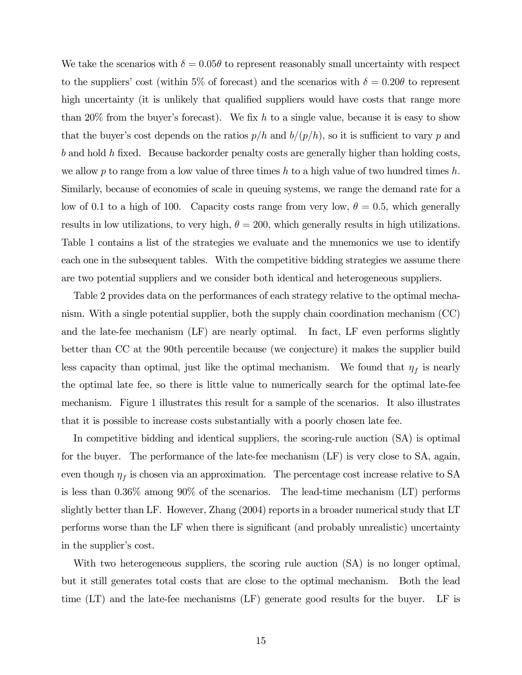We take the scenarios with  $\delta = 0.05\theta$  to represent reasonably small uncertainty with respect to the suppliers' cost (within 5% of forecast) and the scenarios with  $\delta = 0.20\theta$  to represent high uncertainty (it is unlikely that qualified suppliers would have costs that range more than 20% from the buyer's forecast). We fix h to a single value, because it is easy to show that the buyer's cost depends on the ratios  $p/h$  and  $b/(p/h)$ , so it is sufficient to vary p and b and hold h fixed. Because backorder penalty costs are generally higher than holding costs, we allow p to range from a low value of three times h to a high value of two hundred times h. Similarly, because of economies of scale in queuing systems, we range the demand rate for a low of 0.1 to a high of 100. Capacity costs range from very low,  $\theta = 0.5$ , which generally results in low utilizations, to very high,  $\theta = 200$ , which generally results in high utilizations. Table 1 contains a list of the strategies we evaluate and the mnemonics we use to identify each one in the subsequent tables. With the competitive bidding strategies we assume there are two potential suppliers and we consider both identical and heterogeneous suppliers.

Table 2 provides data on the performances of each strategy relative to the optimal mechanism. With a single potential supplier, both the supply chain coordination mechanism (CC) and the late-fee mechanism (LF) are nearly optimal. In fact, LF even performs slightly better than CC at the 90th percentile because (we conjecture) it makes the supplier build less capacity than optimal, just like the optimal mechanism. We found that  $\eta_f$  is nearly the optimal late fee, so there is little value to numerically search for the optimal late-fee mechanism. Figure 1 illustrates this result for a sample of the scenarios. It also illustrates that it is possible to increase costs substantially with a poorly chosen late fee.

In competitive bidding and identical suppliers, the scoring-rule auction (SA) is optimal for the buyer. The performance of the late-fee mechanism (LF) is very close to SA, again, even though  $\eta_f$  is chosen via an approximation. The percentage cost increase relative to SA is less than 0.36% among 90% of the scenarios. The lead-time mechanism (LT) performs slightly better than LF. However, Zhang (2004) reports in a broader numerical study that LT performs worse than the LF when there is significant (and probably unrealistic) uncertainty in the supplier's cost.

With two heterogeneous suppliers, the scoring rule auction (SA) is no longer optimal, but it still generates total costs that are close to the optimal mechanism. Both the lead time (LT) and the late-fee mechanisms (LF) generate good results for the buyer. LF is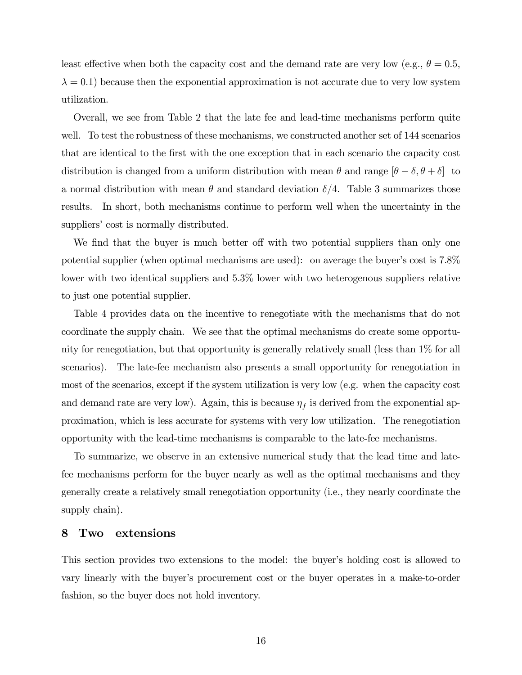least effective when both the capacity cost and the demand rate are very low (e.g.,  $\theta = 0.5$ ,  $\lambda = 0.1$ ) because then the exponential approximation is not accurate due to very low system utilization.

Overall, we see from Table 2 that the late fee and lead-time mechanisms perform quite well. To test the robustness of these mechanisms, we constructed another set of 144 scenarios that are identical to the first with the one exception that in each scenario the capacity cost distribution is changed from a uniform distribution with mean  $\theta$  and range  $[\theta - \delta, \theta + \delta]$  to a normal distribution with mean  $\theta$  and standard deviation  $\delta/4$ . Table 3 summarizes those results. In short, both mechanisms continue to perform well when the uncertainty in the suppliers' cost is normally distributed.

We find that the buyer is much better off with two potential suppliers than only one potential supplier (when optimal mechanisms are used): on average the buyer's cost is 7.8% lower with two identical suppliers and 5.3% lower with two heterogenous suppliers relative to just one potential supplier.

Table 4 provides data on the incentive to renegotiate with the mechanisms that do not coordinate the supply chain. We see that the optimal mechanisms do create some opportunity for renegotiation, but that opportunity is generally relatively small (less than 1% for all scenarios). The late-fee mechanism also presents a small opportunity for renegotiation in most of the scenarios, except if the system utilization is very low (e.g. when the capacity cost and demand rate are very low). Again, this is because  $\eta_f$  is derived from the exponential approximation, which is less accurate for systems with very low utilization. The renegotiation opportunity with the lead-time mechanisms is comparable to the late-fee mechanisms.

To summarize, we observe in an extensive numerical study that the lead time and latefee mechanisms perform for the buyer nearly as well as the optimal mechanisms and they generally create a relatively small renegotiation opportunity (i.e., they nearly coordinate the supply chain).

## 8 Two extensions

This section provides two extensions to the model: the buyer's holding cost is allowed to vary linearly with the buyer's procurement cost or the buyer operates in a make-to-order fashion, so the buyer does not hold inventory.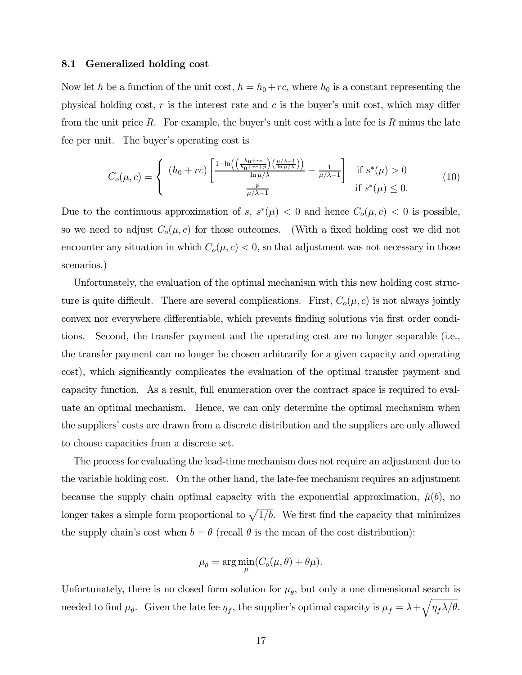#### 8.1 Generalized holding cost

Now let h be a function of the unit cost,  $h = h_0 + rc$ , where  $h_0$  is a constant representing the physical holding cost, r is the interest rate and c is the buyer's unit cost, which may differ from the unit price R. For example, the buyer's unit cost with a late fee is R minus the late fee per unit. The buyer's operating cost is

$$
C_o(\mu, c) = \begin{cases} (h_0 + rc) \left[ \frac{1 - \ln\left(\left(\frac{h_0 + rc}{h_0 + rc + p}\right)\left(\frac{\mu/\lambda - 1}{\ln \mu/\lambda}\right)\right)}{\ln \mu/\lambda} - \frac{1}{\mu/\lambda - 1} \right] & \text{if } s^*(\mu) > 0\\ \frac{p}{\mu/\lambda - 1} & \text{if } s^*(\mu) \le 0. \end{cases} \tag{10}
$$

Due to the continuous approximation of s,  $s^*(\mu) < 0$  and hence  $C_o(\mu, c) < 0$  is possible, so we need to adjust  $C_o(\mu, c)$  for those outcomes. (With a fixed holding cost we did not encounter any situation in which  $C_o(\mu, c) < 0$ , so that adjustment was not necessary in those scenarios.)

Unfortunately, the evaluation of the optimal mechanism with this new holding cost structure is quite difficult. There are several complications. First,  $C_o(\mu, c)$  is not always jointly convex nor everywhere differentiable, which prevents finding solutions via first order conditions. Second, the transfer payment and the operating cost are no longer separable (i.e., the transfer payment can no longer be chosen arbitrarily for a given capacity and operating cost), which significantly complicates the evaluation of the optimal transfer payment and capacity function. As a result, full enumeration over the contract space is required to evaluate an optimal mechanism. Hence, we can only determine the optimal mechanism when the suppliers' costs are drawn from a discrete distribution and the suppliers are only allowed to choose capacities from a discrete set.

The process for evaluating the lead-time mechanism does not require an adjustment due to the variable holding cost. On the other hand, the late-fee mechanism requires an adjustment because the supply chain optimal capacity with the exponential approximation,  $\hat{\mu}(b)$ , no longer takes a simple form proportional to  $\sqrt{1/b}$ . We first find the capacity that minimizes the supply chain's cost when  $b = \theta$  (recall  $\theta$  is the mean of the cost distribution):

$$
\mu_{\theta} = \arg\min_{\mu} (C_o(\mu, \theta) + \theta \mu).
$$

Unfortunately, there is no closed form solution for  $\mu_{\theta}$ , but only a one dimensional search is needed to find  $\mu_{\theta}$ . Given the late fee  $\eta_f$ , the supplier's optimal capacity is  $\mu_f = \lambda + \sqrt{\eta_f \lambda/\theta}$ .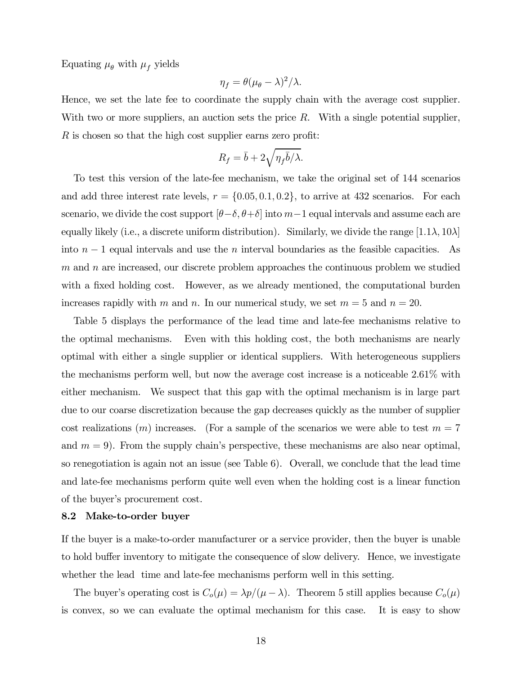Equating  $\mu_{\theta}$  with  $\mu_f$  yields

$$
\eta_f = \theta (\mu_\theta - \lambda)^2 / \lambda.
$$

Hence, we set the late fee to coordinate the supply chain with the average cost supplier. With two or more suppliers, an auction sets the price  $R$ . With a single potential supplier, R is chosen so that the high cost supplier earns zero profit:

$$
R_f = \bar{b} + 2\sqrt{\eta_f\bar{b}/\lambda}.
$$

To test this version of the late-fee mechanism, we take the original set of 144 scenarios and add three interest rate levels,  $r = \{0.05, 0.1, 0.2\}$ , to arrive at 432 scenarios. For each scenario, we divide the cost support  $[\theta-\delta, \theta+\delta]$  into  $m-1$  equal intervals and assume each are equally likely (i.e., a discrete uniform distribution). Similarly, we divide the range  $[1.1\lambda, 10\lambda]$ into  $n-1$  equal intervals and use the n interval boundaries as the feasible capacities. As  $m$  and  $n$  are increased, our discrete problem approaches the continuous problem we studied with a fixed holding cost. However, as we already mentioned, the computational burden increases rapidly with m and n. In our numerical study, we set  $m = 5$  and  $n = 20$ .

Table 5 displays the performance of the lead time and late-fee mechanisms relative to the optimal mechanisms. Even with this holding cost, the both mechanisms are nearly optimal with either a single supplier or identical suppliers. With heterogeneous suppliers the mechanisms perform well, but now the average cost increase is a noticeable 2.61% with either mechanism. We suspect that this gap with the optimal mechanism is in large part due to our coarse discretization because the gap decreases quickly as the number of supplier cost realizations  $(m)$  increases. (For a sample of the scenarios we were able to test  $m = 7$ and  $m = 9$ ). From the supply chain's perspective, these mechanisms are also near optimal, so renegotiation is again not an issue (see Table 6). Overall, we conclude that the lead time and late-fee mechanisms perform quite well even when the holding cost is a linear function of the buyer's procurement cost.

#### 8.2 Make-to-order buyer

If the buyer is a make-to-order manufacturer or a service provider, then the buyer is unable to hold buffer inventory to mitigate the consequence of slow delivery. Hence, we investigate whether the lead time and late-fee mechanisms perform well in this setting.

The buyer's operating cost is  $C_o(\mu) = \frac{\lambda p}{\mu - \lambda}$ . Theorem 5 still applies because  $C_o(\mu)$ is convex, so we can evaluate the optimal mechanism for this case. It is easy to show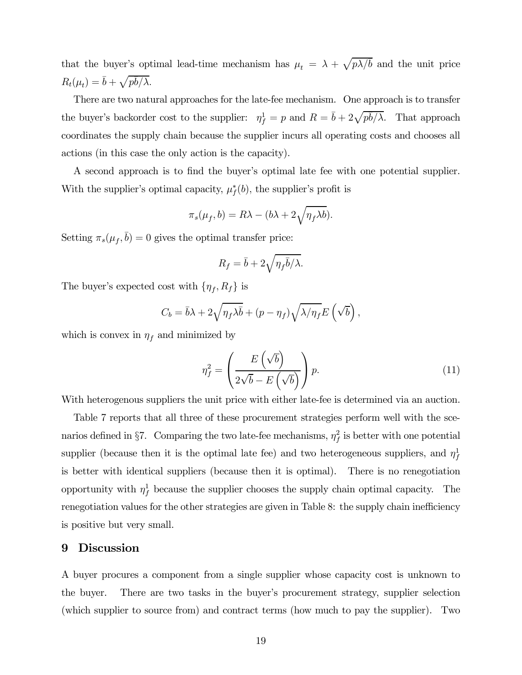that the buyer's optimal lead-time mechanism has  $\mu_t = \lambda + \sqrt{p\lambda/\overline{b}}$  and the unit price  $R_t(\mu_t) = \bar{b} + \sqrt{p\bar{b}/\lambda}.$ 

There are two natural approaches for the late-fee mechanism. One approach is to transfer the buyer's backorder cost to the supplier:  $\eta_f^1 = p$  and  $R = \bar{b} + 2\sqrt{p\bar{b}/\lambda}$ . That approach coordinates the supply chain because the supplier incurs all operating costs and chooses all actions (in this case the only action is the capacity).

A second approach is to find the buyer's optimal late fee with one potential supplier. With the supplier's optimal capacity,  $\mu_f^*(b)$ , the supplier's profit is

$$
\pi_s(\mu_f, b) = R\lambda - (b\lambda + 2\sqrt{\eta_f \lambda b}).
$$

Setting  $\pi_s(\mu_f, \bar{b})=0$  gives the optimal transfer price:

$$
R_f = \bar{b} + 2\sqrt{\eta_f \bar{b}/\lambda}.
$$

The buyer's expected cost with  $\{\eta_f, R_f\}$  is

$$
C_b = \bar{b}\lambda + 2\sqrt{\eta_f\lambda\bar{b}} + (p - \eta_f)\sqrt{\lambda/\eta_f}E\left(\sqrt{b}\right),
$$

which is convex in  $\eta_f$  and minimized by

$$
\eta_f^2 = \left(\frac{E\left(\sqrt{b}\right)}{2\sqrt{b} - E\left(\sqrt{b}\right)}\right)p.\tag{11}
$$

With heterogenous suppliers the unit price with either late-fee is determined via an auction.

Table 7 reports that all three of these procurement strategies perform well with the scenarios defined in §7. Comparing the two late-fee mechanisms,  $\eta_f^2$  is better with one potential supplier (because then it is the optimal late fee) and two heterogeneous suppliers, and  $\eta_f^1$ is better with identical suppliers (because then it is optimal). There is no renegotiation opportunity with  $\eta_f^1$  because the supplier chooses the supply chain optimal capacity. The renegotiation values for the other strategies are given in Table 8: the supply chain inefficiency is positive but very small.

### 9 Discussion

A buyer procures a component from a single supplier whose capacity cost is unknown to the buyer. There are two tasks in the buyer's procurement strategy, supplier selection (which supplier to source from) and contract terms (how much to pay the supplier). Two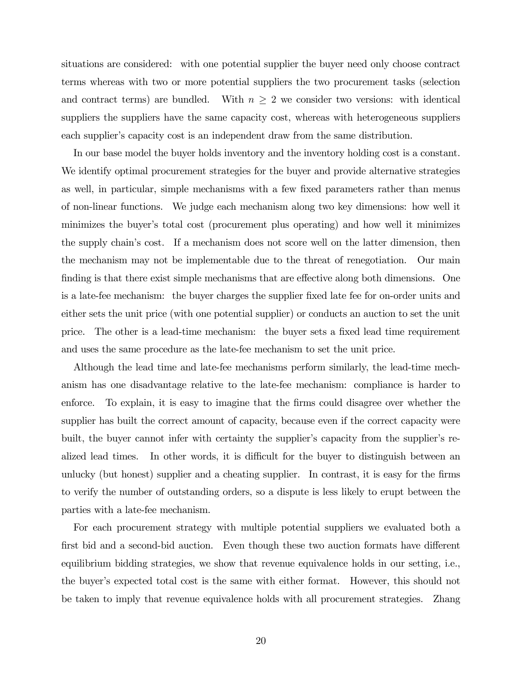situations are considered: with one potential supplier the buyer need only choose contract terms whereas with two or more potential suppliers the two procurement tasks (selection and contract terms) are bundled. With  $n \geq 2$  we consider two versions: with identical suppliers the suppliers have the same capacity cost, whereas with heterogeneous suppliers each supplier's capacity cost is an independent draw from the same distribution.

In our base model the buyer holds inventory and the inventory holding cost is a constant. We identify optimal procurement strategies for the buyer and provide alternative strategies as well, in particular, simple mechanisms with a few fixed parameters rather than menus of non-linear functions. We judge each mechanism along two key dimensions: how well it minimizes the buyer's total cost (procurement plus operating) and how well it minimizes the supply chain's cost. If a mechanism does not score well on the latter dimension, then the mechanism may not be implementable due to the threat of renegotiation. Our main finding is that there exist simple mechanisms that are effective along both dimensions. One is a late-fee mechanism: the buyer charges the supplier fixed late fee for on-order units and either sets the unit price (with one potential supplier) or conducts an auction to set the unit price. The other is a lead-time mechanism: the buyer sets a fixed lead time requirement and uses the same procedure as the late-fee mechanism to set the unit price.

Although the lead time and late-fee mechanisms perform similarly, the lead-time mechanism has one disadvantage relative to the late-fee mechanism: compliance is harder to enforce. To explain, it is easy to imagine that the firms could disagree over whether the supplier has built the correct amount of capacity, because even if the correct capacity were built, the buyer cannot infer with certainty the supplier's capacity from the supplier's realized lead times. In other words, it is difficult for the buyer to distinguish between an unlucky (but honest) supplier and a cheating supplier. In contrast, it is easy for the firms to verify the number of outstanding orders, so a dispute is less likely to erupt between the parties with a late-fee mechanism.

For each procurement strategy with multiple potential suppliers we evaluated both a first bid and a second-bid auction. Even though these two auction formats have different equilibrium bidding strategies, we show that revenue equivalence holds in our setting, i.e., the buyer's expected total cost is the same with either format. However, this should not be taken to imply that revenue equivalence holds with all procurement strategies. Zhang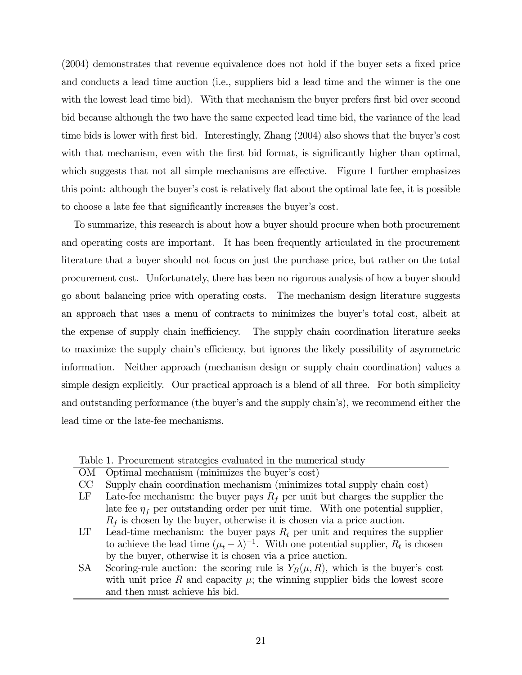(2004) demonstrates that revenue equivalence does not hold if the buyer sets a fixed price and conducts a lead time auction (i.e., suppliers bid a lead time and the winner is the one with the lowest lead time bid). With that mechanism the buyer prefers first bid over second bid because although the two have the same expected lead time bid, the variance of the lead time bids is lower with first bid. Interestingly, Zhang (2004) also shows that the buyer's cost with that mechanism, even with the first bid format, is significantly higher than optimal, which suggests that not all simple mechanisms are effective. Figure 1 further emphasizes this point: although the buyer's cost is relatively flat about the optimal late fee, it is possible to choose a late fee that significantly increases the buyer's cost.

To summarize, this research is about how a buyer should procure when both procurement and operating costs are important. It has been frequently articulated in the procurement literature that a buyer should not focus on just the purchase price, but rather on the total procurement cost. Unfortunately, there has been no rigorous analysis of how a buyer should go about balancing price with operating costs. The mechanism design literature suggests an approach that uses a menu of contracts to minimizes the buyer's total cost, albeit at the expense of supply chain inefficiency. The supply chain coordination literature seeks to maximize the supply chain's efficiency, but ignores the likely possibility of asymmetric information. Neither approach (mechanism design or supply chain coordination) values a simple design explicitly. Our practical approach is a blend of all three. For both simplicity and outstanding performance (the buyer's and the supply chain's), we recommend either the lead time or the late-fee mechanisms.

Table 1. Procurement strategies evaluated in the numerical study

- OM Optimal mechanism (minimizes the buyer's cost)
- CC Supply chain coordination mechanism (minimizes total supply chain cost)
- LF Late-fee mechanism: the buyer pays  $R_f$  per unit but charges the supplier the late fee  $\eta_f$  per outstanding order per unit time. With one potential supplier,  $R_f$  is chosen by the buyer, otherwise it is chosen via a price auction.
- LT Lead-time mechanism: the buyer pays  $R_t$  per unit and requires the supplier to achieve the lead time  $(\mu_t - \lambda)^{-1}$ . With one potential supplier,  $R_t$  is chosen by the buyer, otherwise it is chosen via a price auction.
- SA Scoring-rule auction: the scoring rule is  $Y_B(\mu, R)$ , which is the buyer's cost with unit price R and capacity  $\mu$ ; the winning supplier bids the lowest score and then must achieve his bid.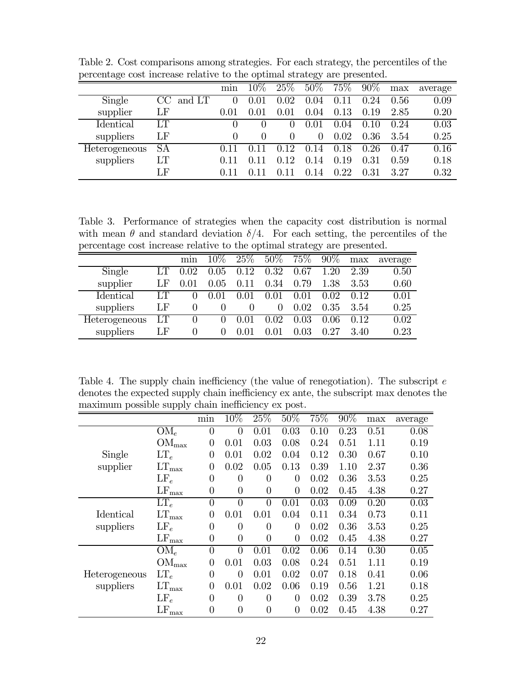| $\circ$       |              |      |              |              | $\smash{\smash{\cup}}\smash{v}$ |        |        |      |         |
|---------------|--------------|------|--------------|--------------|---------------------------------|--------|--------|------|---------|
|               |              | min  | $10\%$       | 25\%         | 50%                             | $75\%$ | $90\%$ | max  | average |
| Single        | CC<br>and LT | 0    | 0.01         | 0.02         | 0.04                            | 0.11   | 0.24   | 0.56 | 0.09    |
| supplier      | LF           | 0.01 | 0.01         | 0.01         | 0.04                            | 0.13   | 0.19   | 2.85 | 0.20    |
| Identical     | LТ           |      | $\cup$       |              | 0.01                            | 0.04   | 0.10   | 0.24 | 0.03    |
| suppliers     | LF           |      | $\mathbf{0}$ | $\mathbf{0}$ | $\theta$                        | 0.02   | 0.36   | 3.54 | 0.25    |
| Heterogeneous | <b>SA</b>    | 011  | () 11        | 0.12         | 0.14                            | 0.18   | 0.26   | 0.47 | 0.16    |
| suppliers     | LT           | 0.11 |              | 0.12         | 0.14                            | 0.19   | 0.31   | 0.59 | 0.18    |
|               | LF           | 0.11 |              |              | 0.14                            | 0.22   | 0.31   | 327  | 0.32    |
|               |              |      |              |              |                                 |        |        |      |         |

Table 2. Cost comparisons among strategies. For each strategy, the percentiles of the percentage cost increase relative to the optimal strategy are presented.

Table 3. Performance of strategies when the capacity cost distribution is normal with mean  $\theta$  and standard deviation  $\delta/4$ . For each setting, the percentiles of the percentage cost increase relative to the optimal strategy are presented.

| л.<br>$\epsilon$ |    |                  |          |                 |          |            | $\epsilon$ $\lambda$ |      |         |
|------------------|----|------------------|----------|-----------------|----------|------------|----------------------|------|---------|
|                  |    | min              | $10\%$   | 25\%            | 50%      | 75\%       | $90\%$               | max  | average |
| Single           |    | 0.02             | 0.05     | 0.12            | 0.32     | 0.67       | 1.20                 | 2.39 | 0.50    |
| supplier         | LF |                  | $0.05\,$ | .11<br>$^{(1)}$ | 0.34     | 0.79       | 1.38                 | 3.53 | 0.60    |
| <b>Identical</b> | LТ |                  |          | $(1)$ (1)       | 0.01     | 0.01       | 0.02                 | 0.12 | 0.01    |
| suppliers        | LF | $\left( \right)$ | $\cup$   |                 | $\theta$ | 0.02       | 0.35                 | 3.54 | 0.25    |
| Heterogeneous    | LT |                  | $\theta$ | $(1)$ ( $1$     | 0.02     | 0.03       | 0.06                 | 0.12 | 0.02    |
| suppliers        | LF | $\Omega$         | $\theta$ | 0.01            |          | $\rm 0.03$ | 0.27                 | 3.40 | 0.23    |

Table 4. The supply chain inefficiency (the value of renegotiation). The subscript  $e$ denotes the expected supply chain inefficiency ex ante, the subscript max denotes the maximum possible supply chain inefficiency ex post.

|               |                                      | $\overline{\min}$ | 10%            | 25%            | 50%            | 75%  | 90%  | max      | average |
|---------------|--------------------------------------|-------------------|----------------|----------------|----------------|------|------|----------|---------|
|               | $OM_e$                               | $\overline{0}$    | $\theta$       | 0.01           | 0.03           | 0.10 | 0.23 | 0.51     | 0.08    |
|               | $\rm{OM_{max}}$                      | $\overline{0}$    | 0.01           | 0.03           | 0.08           | 0.24 | 0.51 | 1.11     | 0.19    |
| Single        | $LT_e$                               | $\overline{0}$    | 0.01           | 0.02           | 0.04           | 0.12 | 0.30 | 0.67     | 0.10    |
| supplier      | $LT_{\text{max}}$                    | $\overline{0}$    | 0.02           | 0.05           | 0.13           | 0.39 | 1.10 | 2.37     | 0.36    |
|               | $LF_e$                               | $\overline{0}$    | $\theta$       | $\theta$       | $\overline{0}$ | 0.02 | 0.36 | 3.53     | 0.25    |
|               | $LF_{\text{max}}$                    | $\overline{0}$    | $\overline{0}$ | $\overline{0}$ | $\overline{0}$ | 0.02 | 0.45 | 4.38     | 0.27    |
|               | $LT_{e}$                             | $\overline{0}$    | $\overline{0}$ | $\overline{0}$ | 0.01           | 0.03 | 0.09 | 0.20     | 0.03    |
| Identical     | $\mathop{\rm LT}\nolimits_{\rm max}$ | $\overline{0}$    | 0.01           | 0.01           | 0.04           | 0.11 | 0.34 | 0.73     | 0.11    |
| suppliers     | $LF_e$                               | $\overline{0}$    | $\overline{0}$ | $\theta$       | $\overline{0}$ | 0.02 | 0.36 | $3.53\,$ | 0.25    |
|               | $LF_{\text{max}}$                    | $\theta$          | $\overline{0}$ | $\overline{0}$ | $\overline{0}$ | 0.02 | 0.45 | 4.38     | 0.27    |
|               | $OM_e$                               | $\overline{0}$    | $\theta$       | 0.01           | 0.02           | 0.06 | 0.14 | 0.30     | 0.05    |
|               | $\rm{OM}_{max}$                      | $\theta$          | 0.01           | 0.03           | 0.08           | 0.24 | 0.51 | 1.11     | 0.19    |
| Heterogeneous | $LT_e$                               | $\overline{0}$    | $\theta$       | 0.01           | 0.02           | 0.07 | 0.18 | 0.41     | 0.06    |
| suppliers     | $\mathop{\rm LT}\nolimits_{\rm max}$ | $\overline{0}$    | 0.01           | 0.02           | 0.06           | 0.19 | 0.56 | 1.21     | 0.18    |
|               | $LF_e$                               | $\overline{0}$    | $\overline{0}$ | $\overline{0}$ | $\overline{0}$ | 0.02 | 0.39 | 3.78     | 0.25    |
|               | $\rm LF_{max}$                       | $\overline{0}$    | $\overline{0}$ | $\overline{0}$ | $\overline{0}$ | 0.02 | 0.45 | 4.38     | 0.27    |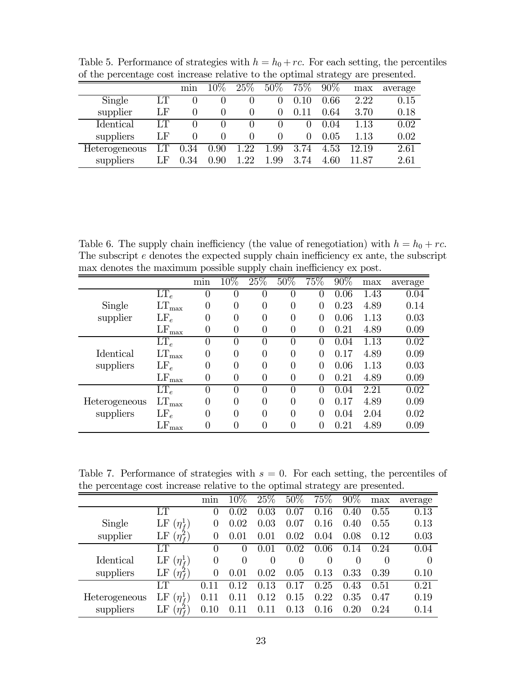| $-$<br>$P_{\text{S}}$ respectively to the complete section of the section $\mathcal{L}_{\text{S}}$ |    |              |              |      |          |              |        |       | $\frac{1}{2}$ |
|----------------------------------------------------------------------------------------------------|----|--------------|--------------|------|----------|--------------|--------|-------|---------------|
|                                                                                                    |    | min          | $10\%$       | 25\% | 50%      | 75%          | $90\%$ | max   | average       |
| Single                                                                                             | LТ |              |              |      |          |              | 0.66   | 2.22  | 0.15          |
| supplier                                                                                           | LF | $\mathbf{0}$ | $\theta$     |      | 0        |              | 0.64   | 3.70  | 0.18          |
| <b>Identical</b>                                                                                   | LТ |              | $\mathbf{0}$ |      |          |              | 0.04   | 1.13  | 0.02          |
| suppliers                                                                                          | LF |              | $\theta$     |      |          | $\mathbf{0}$ | 0.05   | 1.13  | 0.02          |
| Heterogeneous                                                                                      | LT | 0.34         | 0.90         | 1.22 | 1.99     | 3.74         | 4.53   | 12.19 | 2.61          |
| suppliers                                                                                          | LF | 0.34         | 0.90         | 1.22 | $1.99\,$ | 3.74         | 4.60   | 11 87 | 2.61          |

Table 5. Performance of strategies with  $h = h_0 + rc$ . For each setting, the percentiles of the percentage cost increase relative to the optimal strategy are presented.

Table 6. The supply chain inefficiency (the value of renegotiation) with  $h = h_0 + rc$ . The subscript e denotes the expected supply chain inefficiency ex ante, the subscript max denotes the maximum possible supply chain inefficiency ex post.

|                            |                   | min              | 10%      | 25%            | $50\%$           | 75%            | $90\%$ | max  | average |
|----------------------------|-------------------|------------------|----------|----------------|------------------|----------------|--------|------|---------|
|                            | $LT_e$            | $\overline{0}$   | 0        | $\overline{0}$ | 0                | 0              | 0.06   | 1.43 | 0.04    |
| Single                     | $LT_{\text{max}}$ | $\theta$         | $\theta$ | $\overline{0}$ | 0                | 0              | 0.23   | 4.89 | 0.14    |
| supplier                   | $LF_e$            | $\Omega$         | $\Omega$ | 0              | $\left( \right)$ | $\Omega$       | 0.06   | 1.13 | 0.03    |
|                            | $LF_{\text{max}}$ | $\Omega$         | $\Omega$ | 0              | 0                | $\theta$       | 0.21   | 4.89 | 0.09    |
|                            | $LT_e$            | $\theta$         | $\theta$ | $\theta$       | $\theta$         | 0              | 0.04   | 1.13 | 0.02    |
| Identical                  | $LT_{\rm max}$    | $\left( \right)$ | $\theta$ | $\overline{0}$ | 0                | $\overline{0}$ | 0.17   | 4.89 | 0.09    |
| suppliers                  | $LF_e$            | $\theta$         | $\Omega$ | $\theta$       | 0                | $\theta$       | 0.06   | 1.13 | 0.03    |
|                            | $LF_{\max}$       | $\Omega$         | $\Omega$ | 0              | 0                | $\theta$       | 0.21   | 4.89 | 0.09    |
|                            | $LT_e$            | $\theta$         | $\theta$ | $\Omega$       | $\Omega$         | $\Omega$       | 0.04   | 2.21 | 0.02    |
| Heterogeneous<br>suppliers | $LT_{\rm max}$    | $\left( \right)$ | $\Omega$ | $\theta$       | 0                | 0              | 0.17   | 4.89 | 0.09    |
|                            | $LF_e$            | $\theta$         | $\theta$ | $\overline{0}$ | $\Omega$         | $\overline{0}$ | 0.04   | 2.04 | 0.02    |
|                            | LF<br>max         | $\left( \right)$ | $\theta$ | $\overline{0}$ | 0                | 0              | 0.21   | 4.89 | 0.09    |

Table 7. Performance of strategies with  $s = 0$ . For each setting, the percentiles of the percentage cost increase relative to the optimal strategy are presented.

|               |                                | mın              | $10\%$   | 25\%           | 50%      | 75%      | 90%             | max      | average  |
|---------------|--------------------------------|------------------|----------|----------------|----------|----------|-----------------|----------|----------|
|               | LT                             | $\left( \right)$ | 0.02     | 0.03           | 0.07     | 0.16     | .40<br>$\theta$ | 0.55     | 0.13     |
| Single        | LF<br>$(\eta_{\rm f}^{\rm I})$ | $\theta$         | 0.02     | 0.03           | 0.07     | 0.16     | 0.40            | 0.55     | 0.13     |
| supplier      | $(\eta_{\tau}^2)$<br>LF        | $\overline{0}$   | 0.01     | 0.01           | 0.02     | 0.04     | 0.08            | 0.12     | 0.03     |
|               | LT                             | $\Omega$         | $\theta$ | 0.01           | 0.02     | 0.06     | (1.14)          | 0.24     | 0.04     |
| Identical     | LF<br>$(\eta_{\,}^{1})$        | $\theta$         | $\theta$ | $\Omega$       | $\theta$ | $\theta$ | $\theta$        | $\theta$ | $\theta$ |
| suppliers     | $(\eta_{\,}^{2})$<br>LF        | $\theta$         | 0.01     | 0.02           | 0.05     | 0.13     | 0.33            | 0.39     | 0.10     |
|               | LT                             |                  | 0.12     | 0.13           | 0.17     | 0.25     | 0.43            | 0.51     | 0.21     |
| Heterogeneous | LF<br>$(\eta_{\rm f}^{\rm L})$ | 0.11             |          | 0.12           | 0.15     | 0.22     | 0.35            | 0.47     | 0.19     |
| suppliers     | $(\eta_{\,}^{2})$<br>LF        | 0.10             |          | 11<br>$\Omega$ | 0.13     | 0.16     | 0.20            | 0.24     | 0.14     |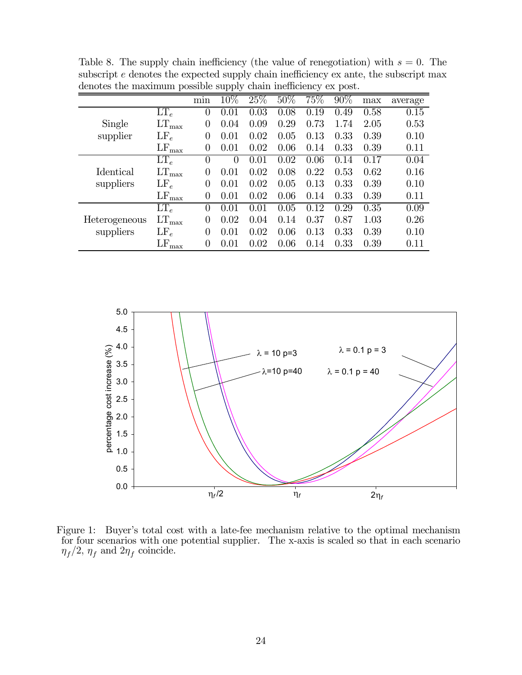|                  |                   | min              | $10\%$   | 25%  | $50\%$ | 75%  | 90%  | max  | average |
|------------------|-------------------|------------------|----------|------|--------|------|------|------|---------|
|                  | $LT_e$            | 0                | 0.01     | 0.03 | 0.08   | 0.19 | 0.49 | 0.58 | 0.15    |
| Single           | $LT_{\text{max}}$ | $\overline{0}$   | 0.04     | 0.09 | 0.29   | 0.73 | 1.74 | 2.05 | 0.53    |
| supplier         | $LF_e$            | 0                | 0.01     | 0.02 | 0.05   | 0.13 | 0.33 | 0.39 | 0.10    |
|                  | $LF_{\text{max}}$ | $\left( \right)$ | 0.01     | 0.02 | 0.06   | 0.14 | 0.33 | 0.39 | 0.11    |
|                  | $LT_e$            | $\Omega$         | $\theta$ | 0.01 | 0.02   | 0.06 | 0.14 | 0.17 | 0.04    |
| <b>Identical</b> | $LT_{\rm max}$    | $\left( \right)$ | 0.01     | 0.02 | 0.08   | 0.22 | 0.53 | 0.62 | 0.16    |
| suppliers        | $LF_e$            | 0                | 0.01     | 0.02 | 0.05   | 0.13 | 0.33 | 0.39 | 0.10    |
|                  | $LF_{\max}$       | 0                | 0.01     | 0.02 | 0.06   | 0.14 | 0.33 | 0.39 | 0.11    |
|                  | $LT_e$            | 0                | 0.01     | 0.01 | 0.05   | 0.12 | 0.29 | 0.35 | 0.09    |
| Heterogeneous    | $LT_{\rm max}$    | 0                | 0.02     | 0.04 | 0.14   | 0.37 | 0.87 | 1.03 | 0.26    |
| suppliers        | $LF_e$            | $\left( \right)$ | 0.01     | 0.02 | 0.06   | 0.13 | 0.33 | 0.39 | 0.10    |
|                  | $LF_{\max}$       | 0                | 0.01     | 0.02 | 0.06   | 0.14 | 0.33 | 0.39 | 0.11    |

Table 8. The supply chain inefficiency (the value of renegotiation) with  $s = 0$ . The subscript  $e$  denotes the expected supply chain inefficiency ex ante, the subscript max denotes the maximum possible supply chain inefficiency ex post.



Figure 1: Buyer's total cost with a late-fee mechanism relative to the optimal mechanism for four scenarios with one potential supplier. The x-axis is scaled so that in each scenario  $\eta_f/2$ ,  $\eta_f$  and  $2\eta_f$  coincide.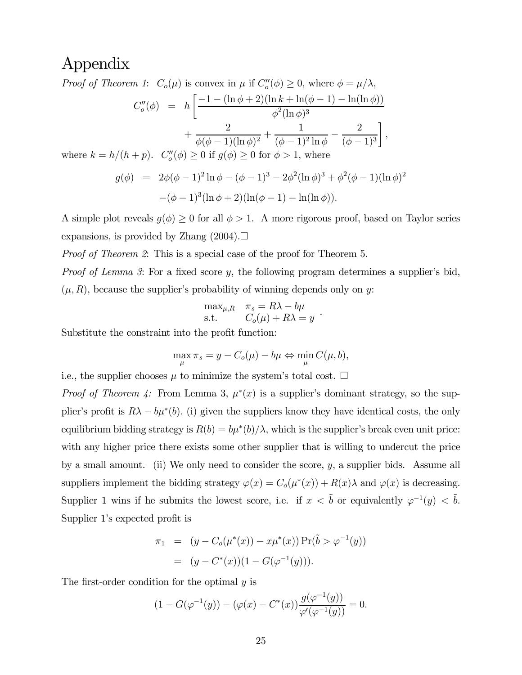## Appendix

Proof of Theorem 1:  $C_o(\mu)$  is convex in  $\mu$  if  $C_o''(\phi) \geq 0$ , where  $\phi = \mu/\lambda$ ,

$$
C''_{o}(\phi) = h \left[ \frac{-1 - (\ln \phi + 2)(\ln k + \ln(\phi - 1) - \ln(\ln \phi))}{\phi^{2}(\ln \phi)^{3}} + \frac{2}{\phi(\phi - 1)(\ln \phi)^{2}} + \frac{1}{(\phi - 1)^{2} \ln \phi} - \frac{2}{(\phi - 1)^{3}} \right],
$$
  
where  $k = h/(h + p)$ .  $C''_{o}(\phi) \ge 0$  if  $g(\phi) \ge 0$  for  $\phi > 1$ , where

$$
g(\phi) = 2\phi(\phi - 1)^2 \ln \phi - (\phi - 1)^3 - 2\phi^2 (\ln \phi)^3 + \phi^2 (\phi - 1)(\ln \phi)^2
$$

$$
-(\phi - 1)^3 (\ln \phi + 2)(\ln(\phi - 1) - \ln(\ln \phi)).
$$

A simple plot reveals  $g(\phi) \geq 0$  for all  $\phi > 1$ . A more rigorous proof, based on Taylor series expansions, is provided by Zhang  $(2004). \Box$ 

Proof of Theorem 2: This is a special case of the proof for Theorem 5.

Proof of Lemma 3: For a fixed score y, the following program determines a supplier's bid,  $(\mu, R)$ , because the supplier's probability of winning depends only on y:

$$
\max_{\mu, R} \quad \pi_s = R\lambda - b\mu
$$
  
s.t. 
$$
C_o(\mu) + R\lambda = y
$$
.

Substitute the constraint into the profit function:

$$
\max_{\mu} \pi_s = y - C_o(\mu) - b\mu \Leftrightarrow \min_{\mu} C(\mu, b),
$$

i.e., the supplier chooses  $\mu$  to minimize the system's total cost.  $\Box$ 

*Proof of Theorem 4:* From Lemma 3,  $\mu^*(x)$  is a supplier's dominant strategy, so the supplier's profit is  $R\lambda - b\mu^*(b)$ . (i) given the suppliers know they have identical costs, the only equilibrium bidding strategy is  $R(b) = b\mu^*(b)/\lambda$ , which is the supplier's break even unit price: with any higher price there exists some other supplier that is willing to undercut the price by a small amount. (ii) We only need to consider the score,  $y$ , a supplier bids. Assume all suppliers implement the bidding strategy  $\varphi(x) = C_o(\mu^*(x)) + R(x)\lambda$  and  $\varphi(x)$  is decreasing. Supplier 1 wins if he submits the lowest score, i.e. if  $x < \tilde{b}$  or equivalently  $\varphi^{-1}(y) < \tilde{b}$ . Supplier 1's expected profit is

$$
\pi_1 = (y - C_o(\mu^*(x)) - x\mu^*(x)) \Pr(\tilde{b} > \varphi^{-1}(y))
$$
  
= 
$$
(y - C^*(x))(1 - G(\varphi^{-1}(y))).
$$

The first-order condition for the optimal  $y$  is

$$
(1 - G(\varphi^{-1}(y)) - (\varphi(x) - C^*(x)) \frac{g(\varphi^{-1}(y))}{\varphi'(\varphi^{-1}(y))} = 0.
$$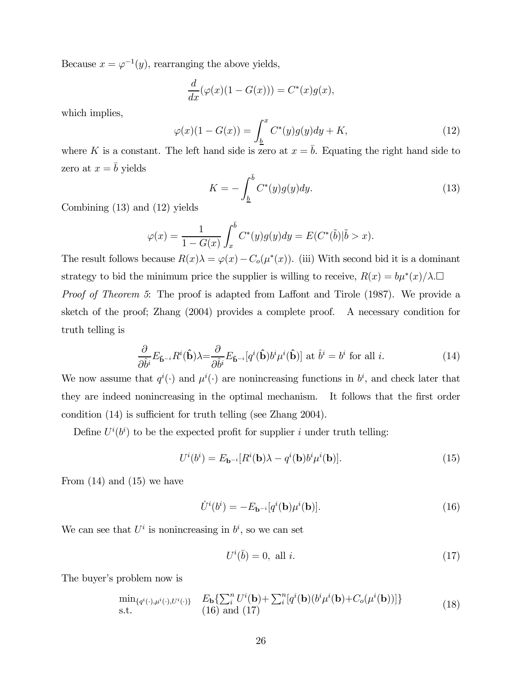Because  $x = \varphi^{-1}(y)$ , rearranging the above yields,

$$
\frac{d}{dx}(\varphi(x)(1 - G(x))) = C^*(x)g(x),
$$

which implies,

$$
\varphi(x)(1 - G(x)) = \int_{\underline{b}}^{x} C^*(y)g(y)dy + K,\tag{12}
$$

where K is a constant. The left hand side is zero at  $x = b$ . Equating the right hand side to zero at  $x = \overline{b}$  yields

$$
K = -\int_{\underline{b}}^{\overline{b}} C^*(y)g(y)dy.
$$
\n(13)

Combining (13) and (12) yields

$$
\varphi(x) = \frac{1}{1 - G(x)} \int_x^{\bar{b}} C^*(y) g(y) dy = E(C^*(\tilde{b}) | \tilde{b} > x).
$$

The result follows because  $R(x)\lambda = \varphi(x) - C_o(\mu^*(x))$ . (iii) With second bid it is a dominant strategy to bid the minimum price the supplier is willing to receive,  $R(x) = b\mu^*(x)/\lambda$ .

Proof of Theorem 5: The proof is adapted from Laffont and Tirole (1987). We provide a sketch of the proof; Zhang (2004) provides a complete proof. A necessary condition for truth telling is

$$
\frac{\partial}{\partial \hat{b}^i} E_{\hat{\mathbf{b}}^{-i}} R^i(\hat{\mathbf{b}}) \lambda = \frac{\partial}{\partial \hat{b}^i} E_{\hat{\mathbf{b}}^{-i}} [q^i(\hat{\mathbf{b}}) b^i \mu^i(\hat{\mathbf{b}})] \text{ at } \hat{b}^i = b^i \text{ for all } i.
$$
 (14)

We now assume that  $q^{i}(\cdot)$  and  $\mu^{i}(\cdot)$  are nonincreasing functions in  $b^{i}$ , and check later that they are indeed nonincreasing in the optimal mechanism. It follows that the first order condition (14) is sufficient for truth telling (see Zhang 2004).

Define  $U^{i}(b^{i})$  to be the expected profit for supplier i under truth telling:

$$
U^{i}(b^{i}) = E_{\mathbf{b}^{-i}}[R^{i}(\mathbf{b})\lambda - q^{i}(\mathbf{b})b^{i}\mu^{i}(\mathbf{b})].
$$
\n(15)

From  $(14)$  and  $(15)$  we have

$$
\dot{U}^i(b^i) = -E_{\mathbf{b}^{-i}}[q^i(\mathbf{b})\mu^i(\mathbf{b})].\tag{16}
$$

We can see that  $U^i$  is nonincreasing in  $b^i$ , so we can set

$$
U^i(\bar{b}) = 0, \text{ all } i. \tag{17}
$$

The buyer's problem now is

$$
\min_{\{q^i(\cdot),\mu^i(\cdot),U^i(\cdot)\}} \quad E_{\mathbf{b}}\{\sum_i^n U^i(\mathbf{b}) + \sum_i^n [q^i(\mathbf{b})(b^i\mu^i(\mathbf{b}) + C_o(\mu^i(\mathbf{b}))]\}
$$
\ns.t.

\n
$$
(18)
$$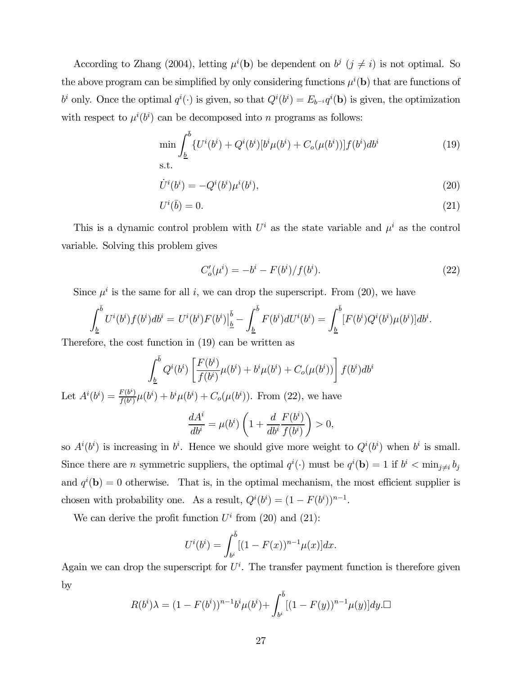According to Zhang (2004), letting  $\mu^{i}(\mathbf{b})$  be dependent on  $b^{j}$   $(j \neq i)$  is not optimal. So the above program can be simplified by only considering functions  $\mu^{i}(\mathbf{b})$  that are functions of  $b^i$  only. Once the optimal  $q^i(\cdot)$  is given, so that  $Q^i(b^i) = E_{b^{-i}} q^i(\mathbf{b})$  is given, the optimization with respect to  $\mu^{i}(b^{i})$  can be decomposed into n programs as follows:

$$
\min \int_{\underline{b}}^{\overline{b}} \{ U^i(b^i) + Q^i(b^i) [b^i \mu(b^i) + C_o(\mu(b^i))] f(b^i) db^i
$$
\n
$$
\text{s.t.} \tag{19}
$$

$$
\dot{U}^i(b^i) = -Q^i(b^i)\mu^i(b^i),\tag{20}
$$

$$
U^i(\bar{b}) = 0.\t\t(21)
$$

This is a dynamic control problem with  $U^i$  as the state variable and  $\mu^i$  as the control variable. Solving this problem gives

$$
C'_{o}(\mu^{i}) = -b^{i} - F(b^{i})/f(b^{i}).
$$
\n(22)

Since  $\mu^{i}$  is the same for all i, we can drop the superscript. From (20), we have

$$
\int_{\underline{b}}^{\overline{b}} U^i(b^i) f(b^i) db^i = U^i(b^i) F(b^i) \Big|_{\underline{b}}^{\overline{b}} - \int_{\underline{b}}^{\overline{b}} F(b^i) dU^i(b^i) = \int_{\underline{b}}^{\overline{b}} [F(b^i) Q^i(b^i) \mu(b^i)] db^i.
$$

Therefore, the cost function in (19) can be written as

$$
\int_{\underline{b}}^{\overline{b}} Q^i(b^i) \left[ \frac{F(b^i)}{f(b^i)} \mu(b^i) + b^i \mu(b^i) + C_o(\mu(b^i)) \right] f(b^i) db^i
$$

Let  $A^{i}(b^{i}) = \frac{F(b^{i})}{f(b^{i})}\mu(b^{i}) + b^{i}\mu(b^{i}) + C_{o}(\mu(b^{i}))$ . From (22), we have

$$
\frac{dA^i}{db^i} = \mu(b^i) \left( 1 + \frac{d}{db^i} \frac{F(b^i)}{f(b^i)} \right) > 0,
$$

so  $A^{i}(b^{i})$  is increasing in  $b^{i}$ . Hence we should give more weight to  $Q^{i}(b^{i})$  when  $b^{i}$  is small. Since there are *n* symmetric suppliers, the optimal  $q^{i}(\cdot)$  must be  $q^{i}(\mathbf{b})=1$  if  $b^{i} < \min_{j\neq i} b_{j}$ and  $q^{i}(\mathbf{b})=0$  otherwise. That is, in the optimal mechanism, the most efficient supplier is chosen with probability one. As a result,  $Q^{i}(b^{i}) = (1 - F(b^{i}))^{n-1}$ .

We can derive the profit function  $U^i$  from (20) and (21):

$$
U^{i}(b^{i}) = \int_{b^{i}}^{\bar{b}} [(1 - F(x))^{n-1} \mu(x)] dx.
$$

Again we can drop the superscript for  $U^i$ . The transfer payment function is therefore given by

$$
R(b^{i})\lambda = (1 - F(b^{i}))^{n-1}b^{i}\mu(b^{i}) + \int_{b^{i}}^{\bar{b}} [(1 - F(y))^{n-1}\mu(y)]dy. \Box
$$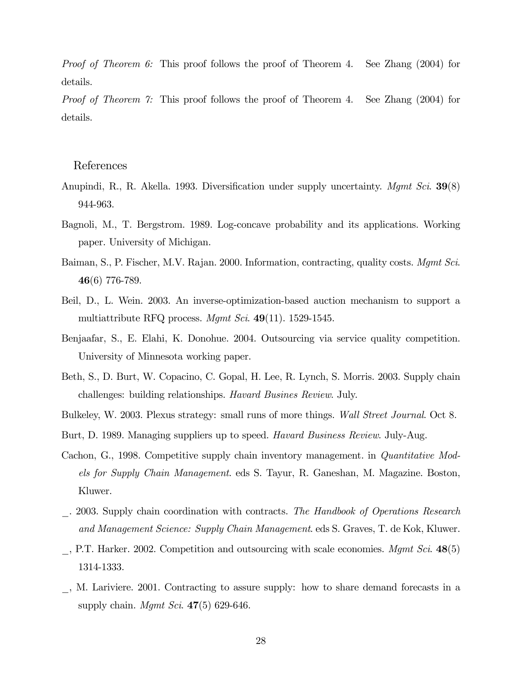Proof of Theorem 6: This proof follows the proof of Theorem 4. See Zhang (2004) for details.

Proof of Theorem 7: This proof follows the proof of Theorem 4. See Zhang (2004) for details.

### References

- Anupindi, R., R. Akella. 1993. Diversification under supply uncertainty. *Mgmt Sci.* 39(8) 944-963.
- Bagnoli, M., T. Bergstrom. 1989. Log-concave probability and its applications. Working paper. University of Michigan.
- Baiman, S., P. Fischer, M.V. Rajan. 2000. Information, contracting, quality costs. *Mgmt Sci.* 46(6) 776-789.
- Beil, D., L. Wein. 2003. An inverse-optimization-based auction mechanism to support a multiattribute RFQ process. Mqmt Sci.  $49(11)$ . 1529-1545.
- Benjaafar, S., E. Elahi, K. Donohue. 2004. Outsourcing via service quality competition. University of Minnesota working paper.
- Beth, S., D. Burt, W. Copacino, C. Gopal, H. Lee, R. Lynch, S. Morris. 2003. Supply chain challenges: building relationships. Havard Busines Review. July.
- Bulkeley, W. 2003. Plexus strategy: small runs of more things. Wall Street Journal. Oct 8.
- Burt, D. 1989. Managing suppliers up to speed. Havard Business Review. July-Aug.
- Cachon, G., 1998. Competitive supply chain inventory management. in Quantitative Models for Supply Chain Management. eds S. Tayur, R. Ganeshan, M. Magazine. Boston, Kluwer.
- . 2003. Supply chain coordination with contracts. The Handbook of Operations Research and Management Science: Supply Chain Management. eds S. Graves, T. de Kok, Kluwer.
- $\gamma$ , P.T. Harker. 2002. Competition and outsourcing with scale economies. Mgmt Sci. 48(5) 1314-1333.
- \_, M. Lariviere. 2001. Contracting to assure supply: how to share demand forecasts in a supply chain. *Mgmt Sci.*  $47(5)$  629-646.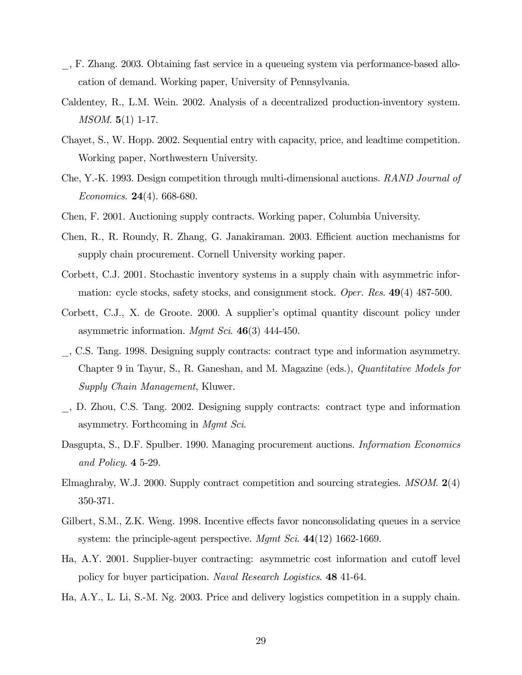- \_, F. Zhang. 2003. Obtaining fast service in a queueing system via performance-based allocation of demand. Working paper, University of Pennsylvania.
- Caldentey, R., L.M. Wein. 2002. Analysis of a decentralized production-inventory system. MSOM. 5(1) 1-17.
- Chayet, S., W. Hopp. 2002. Sequential entry with capacity, price, and leadtime competition. Working paper, Northwestern University.
- Che, Y.-K. 1993. Design competition through multi-dimensional auctions. RAND Journal of *Economics.* **24**(4). 668-680.
- Chen, F. 2001. Auctioning supply contracts. Working paper, Columbia University.
- Chen, R., R. Roundy, R. Zhang, G. Janakiraman. 2003. Efficient auction mechanisms for supply chain procurement. Cornell University working paper.
- Corbett, C.J. 2001. Stochastic inventory systems in a supply chain with asymmetric information: cycle stocks, safety stocks, and consignment stock. Oper. Res. 49(4) 487-500.
- Corbett, C.J., X. de Groote. 2000. A supplier's optimal quantity discount policy under asymmetric information. Mgmt Sci.  $46(3)$  444-450.
- \_, C.S. Tang. 1998. Designing supply contracts: contract type and information asymmetry. Chapter 9 in Tayur, S., R. Ganeshan, and M. Magazine (eds.), Quantitative Models for Supply Chain Management, Kluwer.
- \_, D. Zhou, C.S. Tang. 2002. Designing supply contracts: contract type and information asymmetry. Forthcoming in Mgmt Sci.
- Dasgupta, S., D.F. Spulber. 1990. Managing procurement auctions. *Information Economics* and Policy. 4 5-29.
- Elmaghraby, W.J. 2000. Supply contract competition and sourcing strategies. MSOM. 2(4) 350-371.
- Gilbert, S.M., Z.K. Weng. 1998. Incentive effects favor nonconsolidating queues in a service system: the principle-agent perspective. Mgmt Sci.  $44(12)$  1662-1669.
- Ha, A.Y. 2001. Supplier-buyer contracting: asymmetric cost information and cutoff level policy for buyer participation. Naval Research Logistics. 48 41-64.
- Ha, A.Y., L. Li, S.-M. Ng. 2003. Price and delivery logistics competition in a supply chain.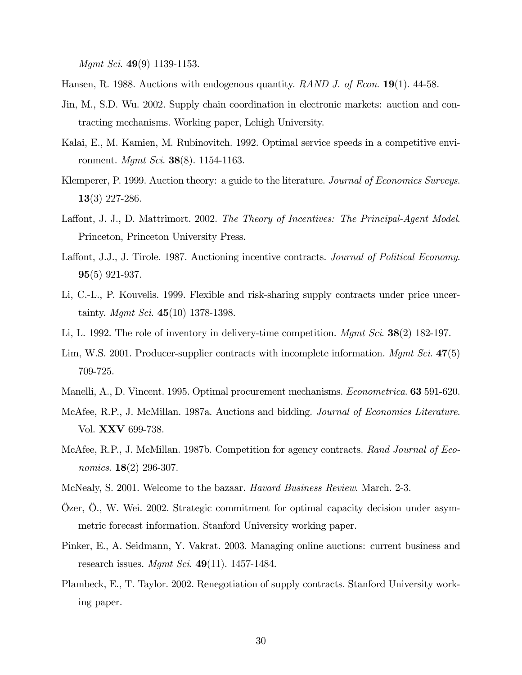Mgmt Sci. 49(9) 1139-1153.

Hansen, R. 1988. Auctions with endogenous quantity. RAND J. of Econ. 19(1). 44-58.

- Jin, M., S.D. Wu. 2002. Supply chain coordination in electronic markets: auction and contracting mechanisms. Working paper, Lehigh University.
- Kalai, E., M. Kamien, M. Rubinovitch. 1992. Optimal service speeds in a competitive environment. *Mgmt Sci.* **38**(8). 1154-1163.
- Klemperer, P. 1999. Auction theory: a guide to the literature. Journal of Economics Surveys. 13(3) 227-286.
- Laffont, J. J., D. Mattrimort. 2002. The Theory of Incentives: The Principal-Agent Model. Princeton, Princeton University Press.
- Laffont, J.J., J. Tirole. 1987. Auctioning incentive contracts. Journal of Political Economy. 95(5) 921-937.
- Li, C.-L., P. Kouvelis. 1999. Flexible and risk-sharing supply contracts under price uncertainty. *Mamt Sci.* 45(10) 1378-1398.
- Li, L. 1992. The role of inventory in delivery-time competition. Mgmt Sci. 38(2) 182-197.
- Lim, W.S. 2001. Producer-supplier contracts with incomplete information.  $Mgmt$  Sci. 47(5) 709-725.
- Manelli, A., D. Vincent. 1995. Optimal procurement mechanisms. Econometrica. 63 591-620.
- McAfee, R.P., J. McMillan. 1987a. Auctions and bidding. *Journal of Economics Literature*. Vol. XXV 699-738.
- McAfee, R.P., J. McMillan. 1987b. Competition for agency contracts. Rand Journal of Economics. **18**(2) 296-307.
- McNealy, S. 2001. Welcome to the bazaar. Havard Business Review. March. 2-3.
- Özer, Ö., W. Wei. 2002. Strategic commitment for optimal capacity decision under asymmetric forecast information. Stanford University working paper.
- Pinker, E., A. Seidmann, Y. Vakrat. 2003. Managing online auctions: current business and research issues. *Mamt Sci.* 49(11). 1457-1484.
- Plambeck, E., T. Taylor. 2002. Renegotiation of supply contracts. Stanford University working paper.